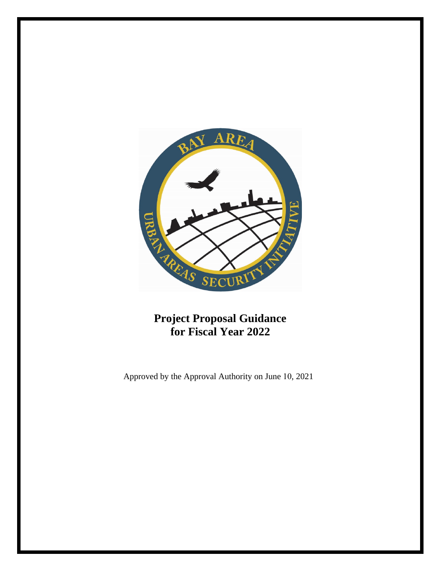

**Project Proposal Guidance for Fiscal Year 2022** 

Approved by the Approval Authority on June 10, 2021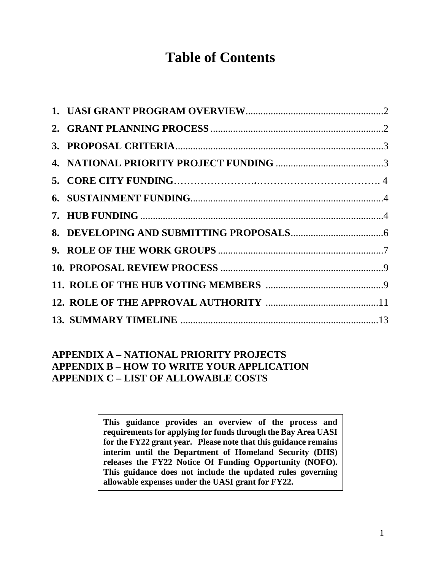# **Table of Contents**

# **APPENDIX A – NATIONAL PRIORITY PROJECTS APPENDIX B – HOW TO WRITE YOUR APPLICATION APPENDIX C – LIST OF ALLOWABLE COSTS**

**This guidance provides an overview of the process and requirements for applying for funds through the Bay Area UASI for the FY22 grant year. Please note that this guidance remains interim until the Department of Homeland Security (DHS) releases the FY22 Notice Of Funding Opportunity (NOFO). This guidance does not include the updated rules governing allowable expenses under the UASI grant for FY22.**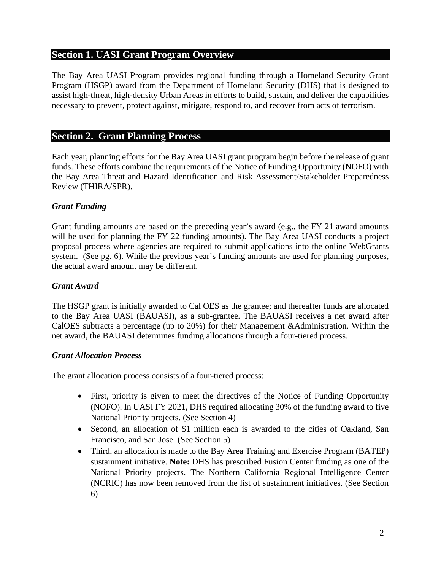# **Section 1. UASI Grant Program Overview**

The Bay Area UASI Program provides regional funding through a Homeland Security Grant Program (HSGP) award from the Department of Homeland Security (DHS) that is designed to assist high-threat, high-density Urban Areas in efforts to build, sustain, and deliver the capabilities necessary to prevent, protect against, mitigate, respond to, and recover from acts of terrorism.

# **Section 2. Grant Planning Process**

Each year, planning efforts for the Bay Area UASI grant program begin before the release of grant funds. These efforts combine the requirements of the Notice of Funding Opportunity (NOFO) with the Bay Area Threat and Hazard Identification and Risk Assessment/Stakeholder Preparedness Review (THIRA/SPR).

# *Grant Funding*

Grant funding amounts are based on the preceding year's award (e.g., the FY 21 award amounts will be used for planning the FY 22 funding amounts). The Bay Area UASI conducts a project proposal process where agencies are required to submit applications into the online WebGrants system. (See pg. 6). While the previous year's funding amounts are used for planning purposes, the actual award amount may be different.

# *Grant Award*

The HSGP grant is initially awarded to Cal OES as the grantee; and thereafter funds are allocated to the Bay Area UASI (BAUASI), as a sub-grantee. The BAUASI receives a net award after CalOES subtracts a percentage (up to 20%) for their Management &Administration. Within the net award, the BAUASI determines funding allocations through a four-tiered process.

# *Grant Allocation Process*

The grant allocation process consists of a four-tiered process:

- First, priority is given to meet the directives of the Notice of Funding Opportunity (NOFO). In UASI FY 2021, DHS required allocating 30% of the funding award to five National Priority projects. (See Section 4)
- Second, an allocation of \$1 million each is awarded to the cities of Oakland, San Francisco, and San Jose. (See Section 5)
- Third, an allocation is made to the Bay Area Training and Exercise Program (BATEP) sustainment initiative. **Note:** DHS has prescribed Fusion Center funding as one of the National Priority projects. The Northern California Regional Intelligence Center (NCRIC) has now been removed from the list of sustainment initiatives. (See Section 6)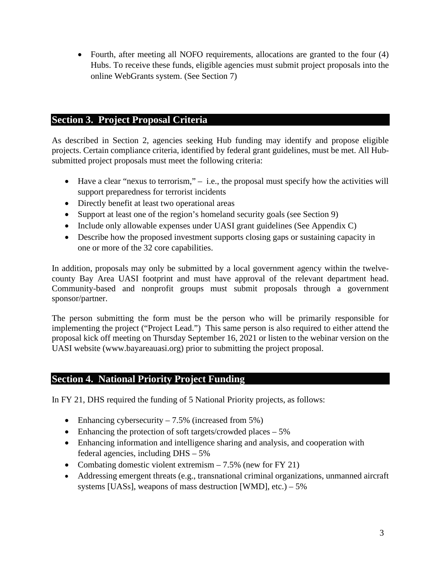• Fourth, after meeting all NOFO requirements, allocations are granted to the four (4) Hubs. To receive these funds, eligible agencies must submit project proposals into the online WebGrants system. (See Section 7)

# **Section 3. Project Proposal Criteria**

As described in Section 2, agencies seeking Hub funding may identify and propose eligible projects. Certain compliance criteria, identified by federal grant guidelines, must be met. All Hubsubmitted project proposals must meet the following criteria:

- Have a clear "nexus to terrorism,"  $-$  i.e., the proposal must specify how the activities will support preparedness for terrorist incidents
- Directly benefit at least two operational areas
- Support at least one of the region's homeland security goals (see Section 9)
- Include only allowable expenses under UASI grant guidelines (See Appendix C)
- Describe how the proposed investment supports closing gaps or sustaining capacity in one or more of the 32 core capabilities.

In addition, proposals may only be submitted by a local government agency within the twelvecounty Bay Area UASI footprint and must have approval of the relevant department head. Community-based and nonprofit groups must submit proposals through a government sponsor/partner.

The person submitting the form must be the person who will be primarily responsible for implementing the project ("Project Lead.") This same person is also required to either attend the proposal kick off meeting on Thursday September 16, 2021 or listen to the webinar version on the UASI website (www.bayareauasi.org) prior to submitting the project proposal.

# **Section 4. National Priority Project Funding**

In FY 21, DHS required the funding of 5 National Priority projects, as follows:

- Enhancing cybersecurity  $-7.5\%$  (increased from 5%)
- Enhancing the protection of soft targets/crowded places  $-5\%$
- Enhancing information and intelligence sharing and analysis, and cooperation with federal agencies, including DHS – 5%
- Combating domestic violent extremism  $-7.5\%$  (new for FY 21)
- Addressing emergent threats (e.g., transnational criminal organizations, unmanned aircraft systems [UASs], weapons of mass destruction [WMD], etc.)  $-5\%$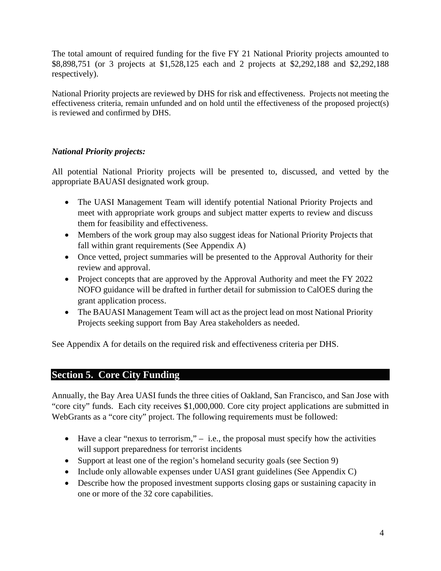The total amount of required funding for the five FY 21 National Priority projects amounted to \$8,898,751 (or 3 projects at \$1,528,125 each and 2 projects at \$2,292,188 and \$2,292,188 respectively).

National Priority projects are reviewed by DHS for risk and effectiveness. Projects not meeting the effectiveness criteria, remain unfunded and on hold until the effectiveness of the proposed project(s) is reviewed and confirmed by DHS.

# *National Priority projects:*

All potential National Priority projects will be presented to, discussed, and vetted by the appropriate BAUASI designated work group.

- The UASI Management Team will identify potential National Priority Projects and meet with appropriate work groups and subject matter experts to review and discuss them for feasibility and effectiveness.
- Members of the work group may also suggest ideas for National Priority Projects that fall within grant requirements (See Appendix A)
- Once vetted, project summaries will be presented to the Approval Authority for their review and approval.
- Project concepts that are approved by the Approval Authority and meet the FY 2022 NOFO guidance will be drafted in further detail for submission to CalOES during the grant application process.
- The BAUASI Management Team will act as the project lead on most National Priority Projects seeking support from Bay Area stakeholders as needed.

See Appendix A for details on the required risk and effectiveness criteria per DHS.

# **Section 5. Core City Funding**

Annually, the Bay Area UASI funds the three cities of Oakland, San Francisco, and San Jose with "core city" funds. Each city receives \$1,000,000. Core city project applications are submitted in WebGrants as a "core city" project. The following requirements must be followed:

- Have a clear "nexus to terrorism,"  $-$  i.e., the proposal must specify how the activities will support preparedness for terrorist incidents
- Support at least one of the region's homeland security goals (see Section 9)
- Include only allowable expenses under UASI grant guidelines (See Appendix C)
- Describe how the proposed investment supports closing gaps or sustaining capacity in one or more of the 32 core capabilities.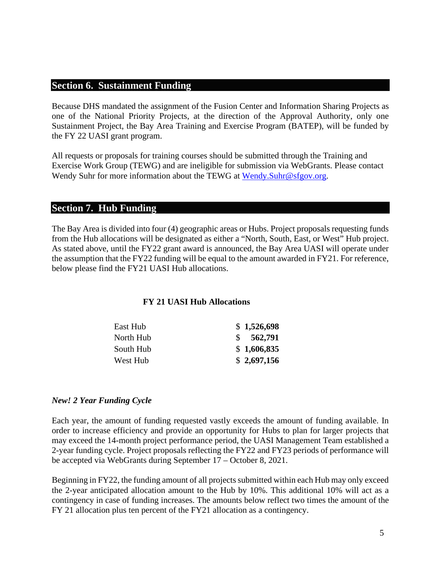# **Section 6. Sustainment Funding**

Because DHS mandated the assignment of the Fusion Center and Information Sharing Projects as one of the National Priority Projects, at the direction of the Approval Authority, only one Sustainment Project, the Bay Area Training and Exercise Program (BATEP), will be funded by the FY 22 UASI grant program.

All requests or proposals for training courses should be submitted through the Training and Exercise Work Group (TEWG) and are ineligible for submission via WebGrants. Please contact Wendy Suhr for more information about the TEWG at [Wendy.Suhr@sfgov.org.](mailto:Wendy.Suhr@sfgov.org)

# **Section 7. Hub Funding**

The Bay Area is divided into four (4) geographic areas or Hubs. Project proposals requesting funds from the Hub allocations will be designated as either a "North, South, East, or West" Hub project. As stated above, until the FY22 grant award is announced, the Bay Area UASI will operate under the assumption that the FY22 funding will be equal to the amount awarded in FY21. For reference, below please find the FY21 UASI Hub allocations.

#### **FY 21 UASI Hub Allocations**

| East Hub  | \$1,526,698 |
|-----------|-------------|
| North Hub | \$562,791   |
| South Hub | \$1,606,835 |
| West Hub  | \$2,697,156 |

#### *New! 2 Year Funding Cycle*

Each year, the amount of funding requested vastly exceeds the amount of funding available. In order to increase efficiency and provide an opportunity for Hubs to plan for larger projects that may exceed the 14-month project performance period, the UASI Management Team established a 2-year funding cycle. Project proposals reflecting the FY22 and FY23 periods of performance will be accepted via WebGrants during September 17 – October 8, 2021.

Beginning in FY22, the funding amount of all projects submitted within each Hub may only exceed the 2-year anticipated allocation amount to the Hub by 10%. This additional 10% will act as a contingency in case of funding increases. The amounts below reflect two times the amount of the FY 21 allocation plus ten percent of the FY21 allocation as a contingency.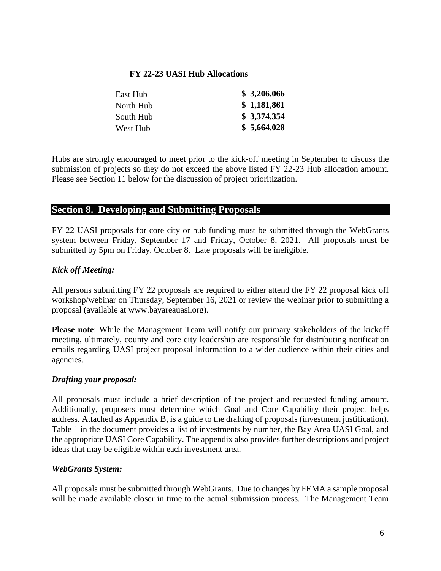#### **FY 22-23 UASI Hub Allocations**

| East Hub  | \$3,206,066 |
|-----------|-------------|
| North Hub | \$1,181,861 |
| South Hub | \$3,374,354 |
| West Hub  | \$5,664,028 |

Hubs are strongly encouraged to meet prior to the kick-off meeting in September to discuss the submission of projects so they do not exceed the above listed FY 22-23 Hub allocation amount. Please see Section 11 below for the discussion of project prioritization.

# **Section 8. Developing and Submitting Proposals**

FY 22 UASI proposals for core city or hub funding must be submitted through the WebGrants system between Friday, September 17 and Friday, October 8, 2021. All proposals must be submitted by 5pm on Friday, October 8. Late proposals will be ineligible.

# *Kick off Meeting:*

All persons submitting FY 22 proposals are required to either attend the FY 22 proposal kick off workshop/webinar on Thursday, September 16, 2021 or review the webinar prior to submitting a proposal (available at www.bayareauasi.org).

**Please note**: While the Management Team will notify our primary stakeholders of the kickoff meeting, ultimately, county and core city leadership are responsible for distributing notification emails regarding UASI project proposal information to a wider audience within their cities and agencies.

# *Drafting your proposal:*

All proposals must include a brief description of the project and requested funding amount. Additionally, proposers must determine which Goal and Core Capability their project helps address. Attached as Appendix B, is a guide to the drafting of proposals (investment justification). Table 1 in the document provides a list of investments by number, the Bay Area UASI Goal, and the appropriate UASI Core Capability. The appendix also provides further descriptions and project ideas that may be eligible within each investment area.

# *WebGrants System:*

All proposals must be submitted through WebGrants. Due to changes by FEMA a sample proposal will be made available closer in time to the actual submission process. The Management Team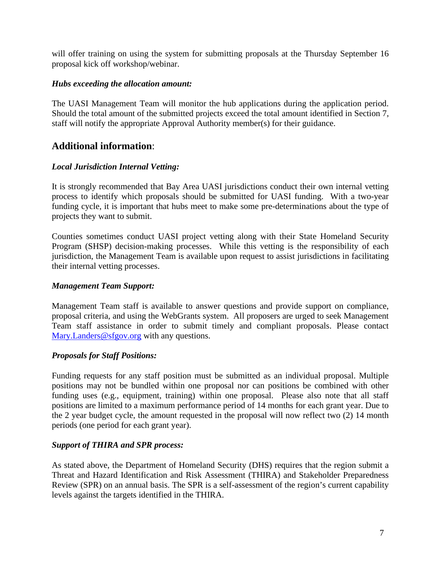will offer training on using the system for submitting proposals at the Thursday September 16 proposal kick off workshop/webinar.

#### *Hubs exceeding the allocation amount:*

The UASI Management Team will monitor the hub applications during the application period. Should the total amount of the submitted projects exceed the total amount identified in Section 7, staff will notify the appropriate Approval Authority member(s) for their guidance.

# **Additional information**:

#### *Local Jurisdiction Internal Vetting:*

It is strongly recommended that Bay Area UASI jurisdictions conduct their own internal vetting process to identify which proposals should be submitted for UASI funding. With a two-year funding cycle, it is important that hubs meet to make some pre-determinations about the type of projects they want to submit.

Counties sometimes conduct UASI project vetting along with their State Homeland Security Program (SHSP) decision-making processes. While this vetting is the responsibility of each jurisdiction, the Management Team is available upon request to assist jurisdictions in facilitating their internal vetting processes.

#### *Management Team Support:*

Management Team staff is available to answer questions and provide support on compliance, proposal criteria, and using the WebGrants system. All proposers are urged to seek Management Team staff assistance in order to submit timely and compliant proposals. Please contact [Mary.Landers@sfgov.org](mailto:Mary.Landers@sfgov.org) with any questions.

#### *Proposals for Staff Positions:*

Funding requests for any staff position must be submitted as an individual proposal. Multiple positions may not be bundled within one proposal nor can positions be combined with other funding uses (e.g., equipment, training) within one proposal. Please also note that all staff positions are limited to a maximum performance period of 14 months for each grant year. Due to the 2 year budget cycle, the amount requested in the proposal will now reflect two (2) 14 month periods (one period for each grant year).

#### *Support of THIRA and SPR process:*

As stated above, the Department of Homeland Security (DHS) requires that the region submit a Threat and Hazard Identification and Risk Assessment (THIRA) and Stakeholder Preparedness Review (SPR) on an annual basis. The SPR is a self-assessment of the region's current capability levels against the targets identified in the THIRA.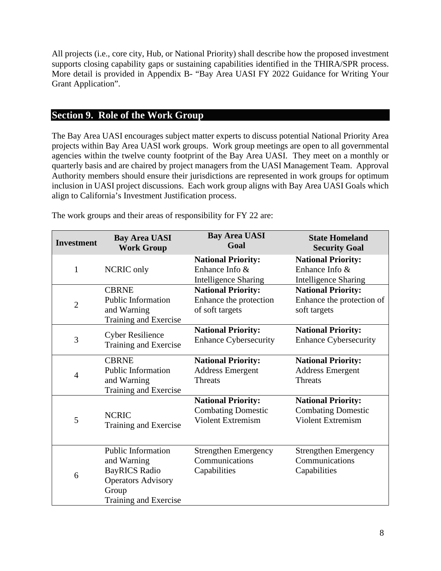All projects (i.e., core city, Hub, or National Priority) shall describe how the proposed investment supports closing capability gaps or sustaining capabilities identified in the THIRA/SPR process. More detail is provided in Appendix B- "Bay Area UASI FY 2022 Guidance for Writing Your Grant Application".

# **Section 9. Role of the Work Group**

The Bay Area UASI encourages subject matter experts to discuss potential National Priority Area projects within Bay Area UASI work groups. Work group meetings are open to all governmental agencies within the twelve county footprint of the Bay Area UASI. They meet on a monthly or quarterly basis and are chaired by project managers from the UASI Management Team. Approval Authority members should ensure their jurisdictions are represented in work groups for optimum inclusion in UASI project discussions. Each work group aligns with Bay Area UASI Goals which align to California's Investment Justification process.

| <b>Investment</b> | <b>Bay Area UASI</b><br><b>Work Group</b>                                                                                | <b>Bay Area UASI</b><br>Goal                                                                          | <b>State Homeland</b><br><b>Security Goal</b>                                                         |
|-------------------|--------------------------------------------------------------------------------------------------------------------------|-------------------------------------------------------------------------------------------------------|-------------------------------------------------------------------------------------------------------|
| 1                 | <b>NCRIC</b> only                                                                                                        | <b>National Priority:</b><br>Enhance Info $&$                                                         | <b>National Priority:</b><br>Enhance Info $&$                                                         |
| $\overline{2}$    | <b>CBRNE</b><br><b>Public Information</b><br>and Warning                                                                 | <b>Intelligence Sharing</b><br><b>National Priority:</b><br>Enhance the protection<br>of soft targets | <b>Intelligence Sharing</b><br><b>National Priority:</b><br>Enhance the protection of<br>soft targets |
|                   | Training and Exercise                                                                                                    |                                                                                                       |                                                                                                       |
| 3                 | <b>Cyber Resilience</b><br>Training and Exercise                                                                         | <b>National Priority:</b><br><b>Enhance Cybersecurity</b>                                             | <b>National Priority:</b><br><b>Enhance Cybersecurity</b>                                             |
| $\overline{4}$    | <b>CBRNE</b><br><b>Public Information</b><br>and Warning<br>Training and Exercise                                        | <b>National Priority:</b><br><b>Address Emergent</b><br><b>Threats</b>                                | <b>National Priority:</b><br><b>Address Emergent</b><br><b>Threats</b>                                |
| 5                 | <b>NCRIC</b><br>Training and Exercise                                                                                    | <b>National Priority:</b><br><b>Combating Domestic</b><br><b>Violent Extremism</b>                    | <b>National Priority:</b><br><b>Combating Domestic</b><br><b>Violent Extremism</b>                    |
| 6                 | Public Information<br>and Warning<br><b>BayRICS Radio</b><br><b>Operators Advisory</b><br>Group<br>Training and Exercise | <b>Strengthen Emergency</b><br>Communications<br>Capabilities                                         | <b>Strengthen Emergency</b><br>Communications<br>Capabilities                                         |

The work groups and their areas of responsibility for FY 22 are: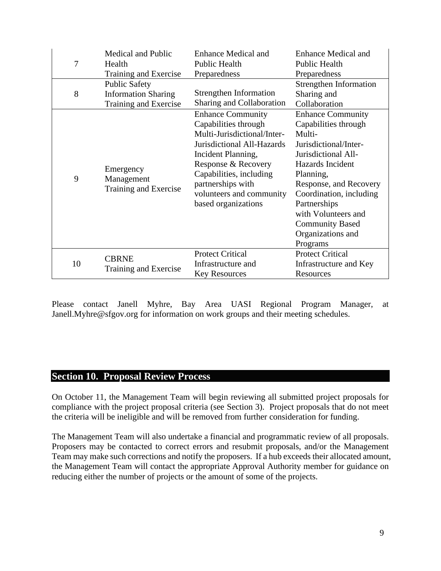| 7  | Medical and Public<br>Health<br>Training and Exercise                       | <b>Enhance Medical and</b><br><b>Enhance Medical and</b><br>Public Health<br>Public Health<br>Preparedness<br>Preparedness                                                                                                                                    |                                                                                                                                                                                                                                                                                                    |
|----|-----------------------------------------------------------------------------|---------------------------------------------------------------------------------------------------------------------------------------------------------------------------------------------------------------------------------------------------------------|----------------------------------------------------------------------------------------------------------------------------------------------------------------------------------------------------------------------------------------------------------------------------------------------------|
| 8  | <b>Public Safety</b><br><b>Information Sharing</b><br>Training and Exercise | Strengthen Information<br>Sharing and Collaboration                                                                                                                                                                                                           | <b>Strengthen Information</b><br>Sharing and<br>Collaboration                                                                                                                                                                                                                                      |
| 9  | Emergency<br>Management<br>Training and Exercise                            | <b>Enhance Community</b><br>Capabilities through<br>Multi-Jurisdictional/Inter-<br>Jurisdictional All-Hazards<br>Incident Planning,<br>Response & Recovery<br>Capabilities, including<br>partnerships with<br>volunteers and community<br>based organizations | <b>Enhance Community</b><br>Capabilities through<br>Multi-<br>Jurisdictional/Inter-<br>Jurisdictional All-<br>Hazards Incident<br>Planning,<br>Response, and Recovery<br>Coordination, including<br>Partnerships<br>with Volunteers and<br><b>Community Based</b><br>Organizations and<br>Programs |
| 10 | <b>CBRNE</b><br>Training and Exercise                                       | <b>Protect Critical</b><br>Infrastructure and<br><b>Key Resources</b>                                                                                                                                                                                         | <b>Protect Critical</b><br>Infrastructure and Key<br>Resources                                                                                                                                                                                                                                     |

Please contact Janell Myhre, Bay Area UASI Regional Program Manager, at Janell.Myhre@sfgov.org for information on work groups and their meeting schedules.

# **Section 10. Proposal Review Process**

On October 11, the Management Team will begin reviewing all submitted project proposals for compliance with the project proposal criteria (see Section 3). Project proposals that do not meet the criteria will be ineligible and will be removed from further consideration for funding.

The Management Team will also undertake a financial and programmatic review of all proposals. Proposers may be contacted to correct errors and resubmit proposals, and/or the Management Team may make such corrections and notify the proposers. If a hub exceeds their allocated amount, the Management Team will contact the appropriate Approval Authority member for guidance on reducing either the number of projects or the amount of some of the projects.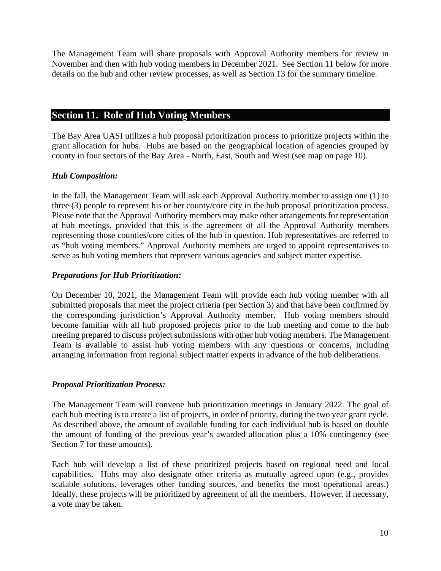The Management Team will share proposals with Approval Authority members for review in November and then with hub voting members in December 2021. See Section 11 below for more details on the hub and other review processes, as well as Section 13 for the summary timeline.

# **Section 11. Role of Hub Voting Members**

The Bay Area UASI utilizes a hub proposal prioritization process to prioritize projects within the grant allocation for hubs. Hubs are based on the geographical location of agencies grouped by county in four sectors of the Bay Area - North, East, South and West (see map on page 10).

# *Hub Composition:*

In the fall, the Management Team will ask each Approval Authority member to assign one (1) to three (3) people to represent his or her county/core city in the hub proposal prioritization process. Please note that the Approval Authority members may make other arrangements for representation at hub meetings, provided that this is the agreement of all the Approval Authority members representing those counties/core cities of the hub in question. Hub representatives are referred to as "hub voting members." Approval Authority members are urged to appoint representatives to serve as hub voting members that represent various agencies and subject matter expertise.

# *Preparations for Hub Prioritization:*

On December 10, 2021, the Management Team will provide each hub voting member with all submitted proposals that meet the project criteria (per Section 3) and that have been confirmed by the corresponding jurisdiction's Approval Authority member. Hub voting members should become familiar with all hub proposed projects prior to the hub meeting and come to the hub meeting prepared to discuss project submissions with other hub voting members. The Management Team is available to assist hub voting members with any questions or concerns, including arranging information from regional subject matter experts in advance of the hub deliberations.

# *Proposal Prioritization Process:*

The Management Team will convene hub prioritization meetings in January 2022. The goal of each hub meeting is to create a list of projects, in order of priority, during the two year grant cycle. As described above, the amount of available funding for each individual hub is based on double the amount of funding of the previous year's awarded allocation plus a 10% contingency (see Section 7 for these amounts).

Each hub will develop a list of these prioritized projects based on regional need and local capabilities. Hubs may also designate other criteria as mutually agreed upon (e.g., provides scalable solutions, leverages other funding sources, and benefits the most operational areas.) Ideally, these projects will be prioritized by agreement of all the members. However, if necessary, a vote may be taken.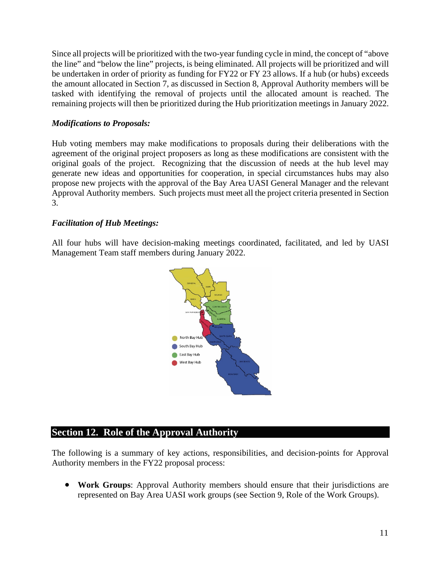Since all projects will be prioritized with the two-year funding cycle in mind, the concept of "above the line" and "below the line" projects, is being eliminated. All projects will be prioritized and will be undertaken in order of priority as funding for FY22 or FY 23 allows. If a hub (or hubs) exceeds the amount allocated in Section 7, as discussed in Section 8, Approval Authority members will be tasked with identifying the removal of projects until the allocated amount is reached. The remaining projects will then be prioritized during the Hub prioritization meetings in January 2022.

#### *Modifications to Proposals:*

Hub voting members may make modifications to proposals during their deliberations with the agreement of the original project proposers as long as these modifications are consistent with the original goals of the project. Recognizing that the discussion of needs at the hub level may generate new ideas and opportunities for cooperation, in special circumstances hubs may also propose new projects with the approval of the Bay Area UASI General Manager and the relevant Approval Authority members. Such projects must meet all the project criteria presented in Section 3.

#### *Facilitation of Hub Meetings:*

All four hubs will have decision-making meetings coordinated, facilitated, and led by UASI Management Team staff members during January 2022.



# **Section 12. Role of the Approval Authority**

The following is a summary of key actions, responsibilities, and decision-points for Approval Authority members in the FY22 proposal process:

• **Work Groups**: Approval Authority members should ensure that their jurisdictions are represented on Bay Area UASI work groups (see Section 9, Role of the Work Groups).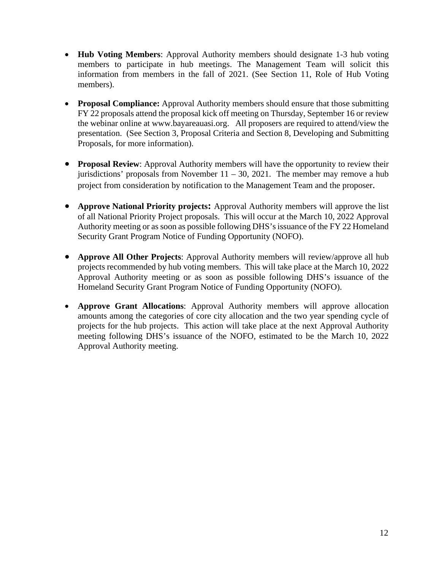- **Hub Voting Members**: Approval Authority members should designate 1-3 hub voting members to participate in hub meetings. The Management Team will solicit this information from members in the fall of 2021. (See Section 11, Role of Hub Voting members).
- **Proposal Compliance:** Approval Authority members should ensure that those submitting FY 22 proposals attend the proposal kick off meeting on Thursday, September 16 or review the webinar online at www.bayareauasi.org. All proposers are required to attend/view the presentation. (See Section 3, Proposal Criteria and Section 8, Developing and Submitting Proposals, for more information).
- **Proposal Review**: Approval Authority members will have the opportunity to review their jurisdictions' proposals from November  $11 - 30$ , 2021. The member may remove a hub project from consideration by notification to the Management Team and the proposer.
- **Approve National Priority projects:** Approval Authority members will approve the list of all National Priority Project proposals. This will occur at the March 10, 2022 Approval Authority meeting or as soon as possible following DHS's issuance of the FY 22 Homeland Security Grant Program Notice of Funding Opportunity (NOFO).
- **Approve All Other Projects**: Approval Authority members will review/approve all hub projects recommended by hub voting members. This will take place at the March 10, 2022 Approval Authority meeting or as soon as possible following DHS's issuance of the Homeland Security Grant Program Notice of Funding Opportunity (NOFO).
- **Approve Grant Allocations**: Approval Authority members will approve allocation amounts among the categories of core city allocation and the two year spending cycle of projects for the hub projects. This action will take place at the next Approval Authority meeting following DHS's issuance of the NOFO, estimated to be the March 10, 2022 Approval Authority meeting.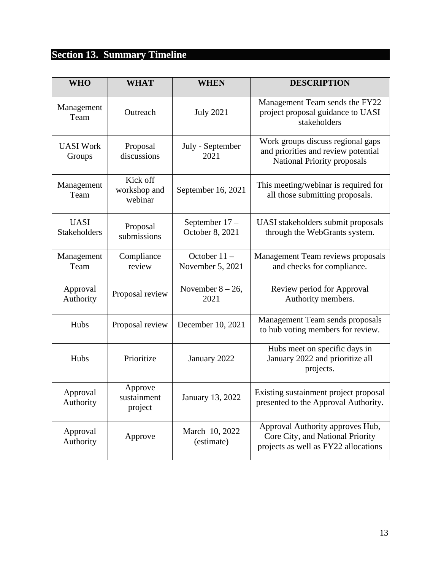# **Section 13. Summary Timeline**

| <b>WHO</b>                  | <b>WHAT</b>                         | <b>WHEN</b>                        | <b>DESCRIPTION</b>                                                                                             |
|-----------------------------|-------------------------------------|------------------------------------|----------------------------------------------------------------------------------------------------------------|
| Management<br>Team          | Outreach                            | <b>July 2021</b>                   | Management Team sends the FY22<br>project proposal guidance to UASI<br>stakeholders                            |
| <b>UASI Work</b><br>Groups  | Proposal<br>discussions             | July - September<br>2021           | Work groups discuss regional gaps<br>and priorities and review potential<br><b>National Priority proposals</b> |
| Management<br>Team          | Kick off<br>workshop and<br>webinar | September 16, 2021                 | This meeting/webinar is required for<br>all those submitting proposals.                                        |
| <b>UASI</b><br>Stakeholders | Proposal<br>submissions             | September 17-<br>October 8, 2021   | UASI stakeholders submit proposals<br>through the WebGrants system.                                            |
| Management<br>Team          | Compliance<br>review                | October $11 -$<br>November 5, 2021 | Management Team reviews proposals<br>and checks for compliance.                                                |
| Approval<br>Authority       | Proposal review                     | November $8 - 26$ ,<br>2021        | Review period for Approval<br>Authority members.                                                               |
| Hubs                        | Proposal review                     | December 10, 2021                  | Management Team sends proposals<br>to hub voting members for review.                                           |
| Hubs                        | Prioritize                          | January 2022                       | Hubs meet on specific days in<br>January 2022 and prioritize all<br>projects.                                  |
| Approval<br>Authority       | Approve<br>sustainment<br>project   | January 13, 2022                   | Existing sustainment project proposal<br>presented to the Approval Authority.                                  |
| Approval<br>Authority       | Approve                             | March 10, 2022<br>(estimate)       | Approval Authority approves Hub,<br>Core City, and National Priority<br>projects as well as FY22 allocations   |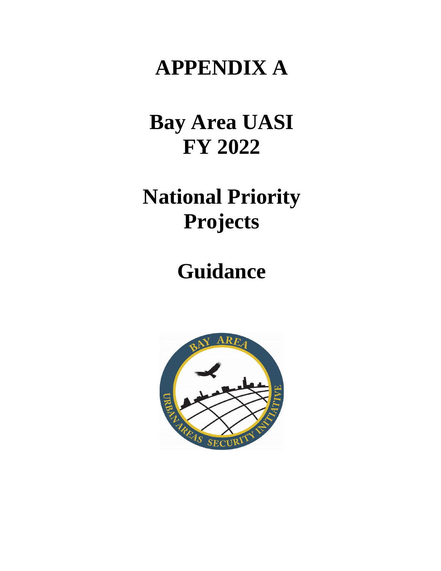# **APPENDIX A**

# **Bay Area UASI FY 2022**

# **National Priority Projects**

# **Guidance**

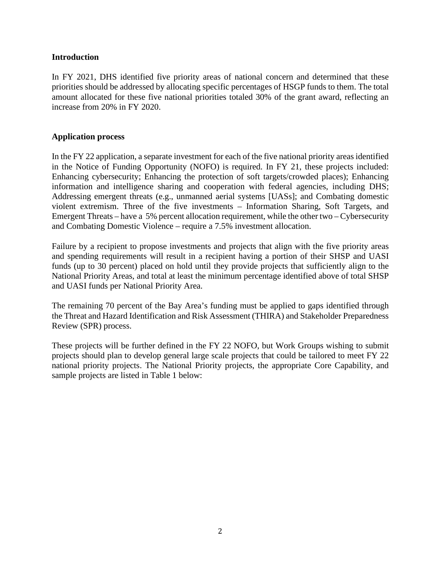#### **Introduction**

In FY 2021, DHS identified five priority areas of national concern and determined that these priorities should be addressed by allocating specific percentages of HSGP funds to them. The total amount allocated for these five national priorities totaled 30% of the grant award, reflecting an increase from 20% in FY 2020.

#### **Application process**

In the FY 22 application, a separate investment for each of the five national priority areas identified in the Notice of Funding Opportunity (NOFO) is required. In FY 21, these projects included: Enhancing cybersecurity; Enhancing the protection of soft targets/crowded places); Enhancing information and intelligence sharing and cooperation with federal agencies, including DHS; Addressing emergent threats (e.g., unmanned aerial systems [UASs]; and Combating domestic violent extremism. Three of the five investments – Information Sharing, Soft Targets, and Emergent Threats – have a 5% percent allocation requirement, while the other two – Cybersecurity and Combating Domestic Violence – require a 7.5% investment allocation.

Failure by a recipient to propose investments and projects that align with the five priority areas and spending requirements will result in a recipient having a portion of their SHSP and UASI funds (up to 30 percent) placed on hold until they provide projects that sufficiently align to the National Priority Areas, and total at least the minimum percentage identified above of total SHSP and UASI funds per National Priority Area.

The remaining 70 percent of the Bay Area's funding must be applied to gaps identified through the Threat and Hazard Identification and Risk Assessment (THIRA) and Stakeholder Preparedness Review (SPR) process.

These projects will be further defined in the FY 22 NOFO, but Work Groups wishing to submit projects should plan to develop general large scale projects that could be tailored to meet FY 22 national priority projects. The National Priority projects, the appropriate Core Capability, and sample projects are listed in Table 1 below: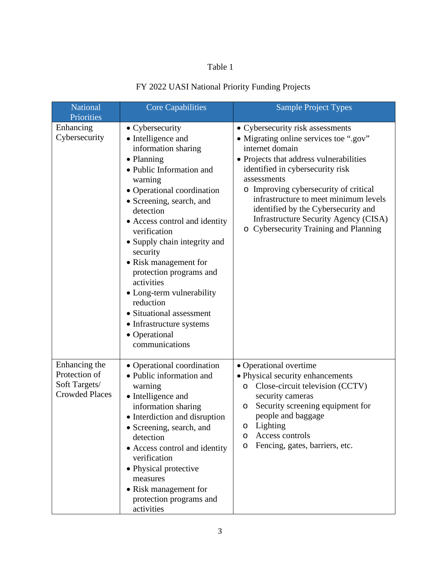# Table 1

# FY 2022 UASI National Priority Funding Projects

| <b>National</b><br>Priorities                                            | Core Capabilities                                                                                                                                                                                                                                                                                                                                                                                                                                                                            | <b>Sample Project Types</b>                                                                                                                                                                                                                                                                                                                                                                                   |
|--------------------------------------------------------------------------|----------------------------------------------------------------------------------------------------------------------------------------------------------------------------------------------------------------------------------------------------------------------------------------------------------------------------------------------------------------------------------------------------------------------------------------------------------------------------------------------|---------------------------------------------------------------------------------------------------------------------------------------------------------------------------------------------------------------------------------------------------------------------------------------------------------------------------------------------------------------------------------------------------------------|
| Enhancing<br>Cybersecurity                                               | • Cybersecurity<br>• Intelligence and<br>information sharing<br>• Planning<br>• Public Information and<br>warning<br>• Operational coordination<br>• Screening, search, and<br>detection<br>• Access control and identity<br>verification<br>• Supply chain integrity and<br>security<br>• Risk management for<br>protection programs and<br>activities<br>• Long-term vulnerability<br>reduction<br>• Situational assessment<br>• Infrastructure systems<br>• Operational<br>communications | • Cybersecurity risk assessments<br>• Migrating online services toe ".gov"<br>internet domain<br>• Projects that address vulnerabilities<br>identified in cybersecurity risk<br>assessments<br>o Improving cybersecurity of critical<br>infrastructure to meet minimum levels<br>identified by the Cybersecurity and<br><b>Infrastructure Security Agency (CISA)</b><br>o Cybersecurity Training and Planning |
| Enhancing the<br>Protection of<br>Soft Targets/<br><b>Crowded Places</b> | • Operational coordination<br>• Public information and<br>warning<br>• Intelligence and<br>information sharing<br>• Interdiction and disruption<br>• Screening, search, and<br>detection<br>• Access control and identity<br>verification<br>• Physical protective<br>measures<br>• Risk management for<br>protection programs and<br>activities                                                                                                                                             | • Operational overtime<br>• Physical security enhancements<br>Close-circuit television (CCTV)<br>$\circ$<br>security cameras<br>Security screening equipment for<br>O<br>people and baggage<br>Lighting<br>O<br>Access controls<br>$\circ$<br>Fencing, gates, barriers, etc.<br>$\circ$                                                                                                                       |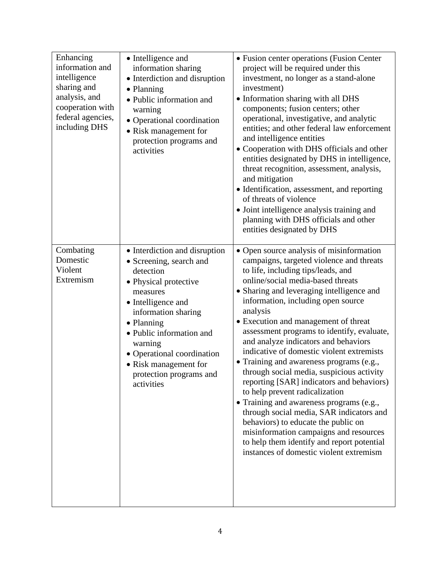| Enhancing<br>information and<br>intelligence<br>sharing and<br>analysis, and<br>cooperation with<br>federal agencies,<br>including DHS | • Intelligence and<br>information sharing<br>• Interdiction and disruption<br>• Planning<br>· Public information and<br>warning<br>· Operational coordination<br>• Risk management for<br>protection programs and<br>activities                                                                              | • Fusion center operations (Fusion Center<br>project will be required under this<br>investment, no longer as a stand-alone<br>investment)<br>· Information sharing with all DHS<br>components; fusion centers; other<br>operational, investigative, and analytic<br>entities; and other federal law enforcement<br>and intelligence entities<br>• Cooperation with DHS officials and other<br>entities designated by DHS in intelligence,<br>threat recognition, assessment, analysis,<br>and mitigation<br>• Identification, assessment, and reporting<br>of threats of violence<br>• Joint intelligence analysis training and<br>planning with DHS officials and other<br>entities designated by DHS                                                                                                                                                                              |
|----------------------------------------------------------------------------------------------------------------------------------------|--------------------------------------------------------------------------------------------------------------------------------------------------------------------------------------------------------------------------------------------------------------------------------------------------------------|-------------------------------------------------------------------------------------------------------------------------------------------------------------------------------------------------------------------------------------------------------------------------------------------------------------------------------------------------------------------------------------------------------------------------------------------------------------------------------------------------------------------------------------------------------------------------------------------------------------------------------------------------------------------------------------------------------------------------------------------------------------------------------------------------------------------------------------------------------------------------------------|
| Combating<br>Domestic<br>Violent<br>Extremism                                                                                          | • Interdiction and disruption<br>• Screening, search and<br>detection<br>• Physical protective<br>measures<br>• Intelligence and<br>information sharing<br>• Planning<br>· Public information and<br>warning<br>• Operational coordination<br>• Risk management for<br>protection programs and<br>activities | • Open source analysis of misinformation<br>campaigns, targeted violence and threats<br>to life, including tips/leads, and<br>online/social media-based threats<br>• Sharing and leveraging intelligence and<br>information, including open source<br>analysis<br>• Execution and management of threat<br>assessment programs to identify, evaluate,<br>and analyze indicators and behaviors<br>indicative of domestic violent extremists<br>• Training and awareness programs (e.g.,<br>through social media, suspicious activity<br>reporting [SAR] indicators and behaviors)<br>to help prevent radicalization<br>• Training and awareness programs (e.g.,<br>through social media, SAR indicators and<br>behaviors) to educate the public on<br>misinformation campaigns and resources<br>to help them identify and report potential<br>instances of domestic violent extremism |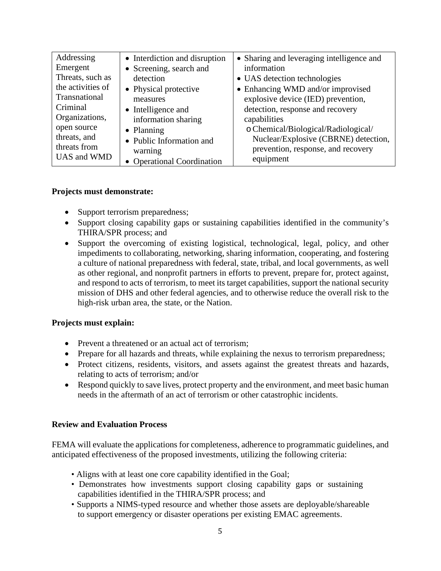| Addressing        | • Interdiction and disruption | • Sharing and leveraging intelligence and |
|-------------------|-------------------------------|-------------------------------------------|
| Emergent          | • Screening, search and       | information                               |
| Threats, such as  | detection                     | • UAS detection technologies              |
| the activities of | • Physical protective         | • Enhancing WMD and/or improvised         |
| Transnational     | measures                      | explosive device (IED) prevention,        |
| Criminal          | • Intelligence and            | detection, response and recovery          |
| Organizations,    | information sharing           | capabilities                              |
| open source       | • Planning                    | o Chemical/Biological/Radiological/       |
| threats, and      | • Public Information and      | Nuclear/Explosive (CBRNE) detection,      |
| threats from      | warning                       | prevention, response, and recovery        |
| UAS and WMD       | • Operational Coordination    | equipment                                 |

#### **Projects must demonstrate:**

- Support terrorism preparedness;
- Support closing capability gaps or sustaining capabilities identified in the community's THIRA/SPR process; and
- Support the overcoming of existing logistical, technological, legal, policy, and other impediments to collaborating, networking, sharing information, cooperating, and fostering a culture of national preparedness with federal, state, tribal, and local governments, as well as other regional, and nonprofit partners in efforts to prevent, prepare for, protect against, and respond to acts of terrorism, to meet its target capabilities, support the national security mission of DHS and other federal agencies, and to otherwise reduce the overall risk to the high-risk urban area, the state, or the Nation.

# **Projects must explain:**

- Prevent a threatened or an actual act of terrorism;
- Prepare for all hazards and threats, while explaining the nexus to terrorism preparedness;
- Protect citizens, residents, visitors, and assets against the greatest threats and hazards, relating to acts of terrorism; and/or
- Respond quickly to save lives, protect property and the environment, and meet basic human needs in the aftermath of an act of terrorism or other catastrophic incidents.

# **Review and Evaluation Process**

FEMA will evaluate the applications for completeness, adherence to programmatic guidelines, and anticipated effectiveness of the proposed investments, utilizing the following criteria:

- Aligns with at least one core capability identified in the Goal;
- Demonstrates how investments support closing capability gaps or sustaining capabilities identified in the THIRA/SPR process; and
- Supports a NIMS-typed resource and whether those assets are deployable/shareable to support emergency or disaster operations per existing EMAC agreements.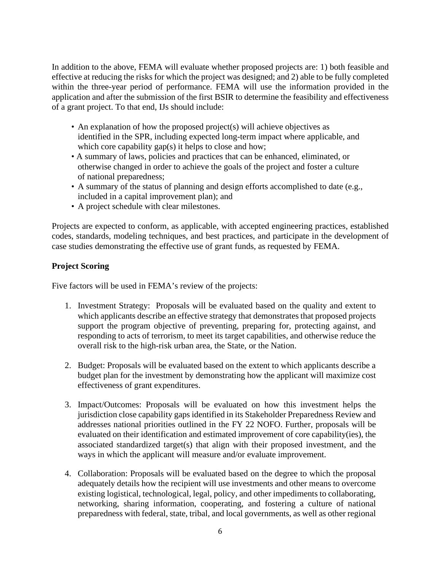In addition to the above, FEMA will evaluate whether proposed projects are: 1) both feasible and effective at reducing the risks for which the project was designed; and 2) able to be fully completed within the three-year period of performance. FEMA will use the information provided in the application and after the submission of the first BSIR to determine the feasibility and effectiveness of a grant project. To that end, IJs should include:

- An explanation of how the proposed project(s) will achieve objectives as identified in the SPR, including expected long-term impact where applicable, and which core capability gap(s) it helps to close and how;
- A summary of laws, policies and practices that can be enhanced, eliminated, or otherwise changed in order to achieve the goals of the project and foster a culture of national preparedness;
- A summary of the status of planning and design efforts accomplished to date (e.g., included in a capital improvement plan); and
- A project schedule with clear milestones.

Projects are expected to conform, as applicable, with accepted engineering practices, established codes, standards, modeling techniques, and best practices, and participate in the development of case studies demonstrating the effective use of grant funds, as requested by FEMA.

# **Project Scoring**

Five factors will be used in FEMA's review of the projects:

- 1. Investment Strategy: Proposals will be evaluated based on the quality and extent to which applicants describe an effective strategy that demonstrates that proposed projects support the program objective of preventing, preparing for, protecting against, and responding to acts of terrorism, to meet its target capabilities, and otherwise reduce the overall risk to the high-risk urban area, the State, or the Nation.
- 2. Budget: Proposals will be evaluated based on the extent to which applicants describe a budget plan for the investment by demonstrating how the applicant will maximize cost effectiveness of grant expenditures.
- 3. Impact/Outcomes: Proposals will be evaluated on how this investment helps the jurisdiction close capability gaps identified in its Stakeholder Preparedness Review and addresses national priorities outlined in the FY 22 NOFO. Further, proposals will be evaluated on their identification and estimated improvement of core capability(ies), the associated standardized target(s) that align with their proposed investment, and the ways in which the applicant will measure and/or evaluate improvement.
- 4. Collaboration: Proposals will be evaluated based on the degree to which the proposal adequately details how the recipient will use investments and other means to overcome existing logistical, technological, legal, policy, and other impediments to collaborating, networking, sharing information, cooperating, and fostering a culture of national preparedness with federal, state, tribal, and local governments, as well as other regional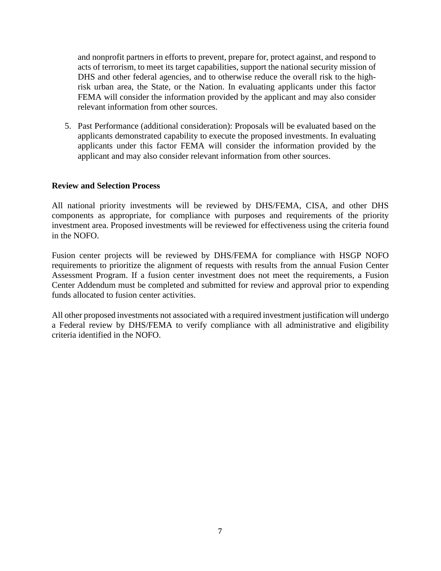and nonprofit partners in efforts to prevent, prepare for, protect against, and respond to acts of terrorism, to meet its target capabilities, support the national security mission of DHS and other federal agencies, and to otherwise reduce the overall risk to the highrisk urban area, the State, or the Nation. In evaluating applicants under this factor FEMA will consider the information provided by the applicant and may also consider relevant information from other sources.

5. Past Performance (additional consideration): Proposals will be evaluated based on the applicants demonstrated capability to execute the proposed investments. In evaluating applicants under this factor FEMA will consider the information provided by the applicant and may also consider relevant information from other sources.

#### **Review and Selection Process**

All national priority investments will be reviewed by DHS/FEMA, CISA, and other DHS components as appropriate, for compliance with purposes and requirements of the priority investment area. Proposed investments will be reviewed for effectiveness using the criteria found in the NOFO.

Fusion center projects will be reviewed by DHS/FEMA for compliance with HSGP NOFO requirements to prioritize the alignment of requests with results from the annual Fusion Center Assessment Program. If a fusion center investment does not meet the requirements, a Fusion Center Addendum must be completed and submitted for review and approval prior to expending funds allocated to fusion center activities.

All other proposed investments not associated with a required investment justification will undergo a Federal review by DHS/FEMA to verify compliance with all administrative and eligibility criteria identified in the NOFO.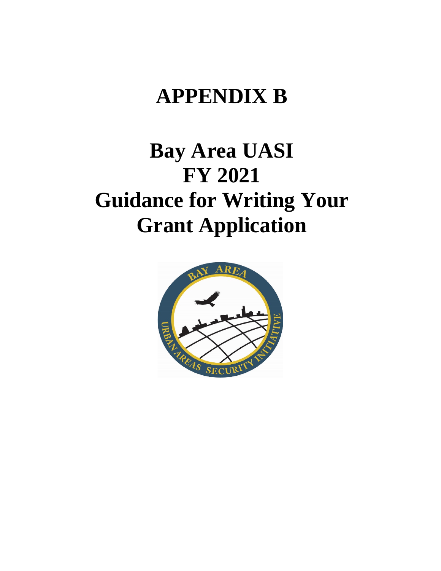# **APPENDIX B**

# **Bay Area UASI FY 2021 Guidance for Writing Your Grant Application**

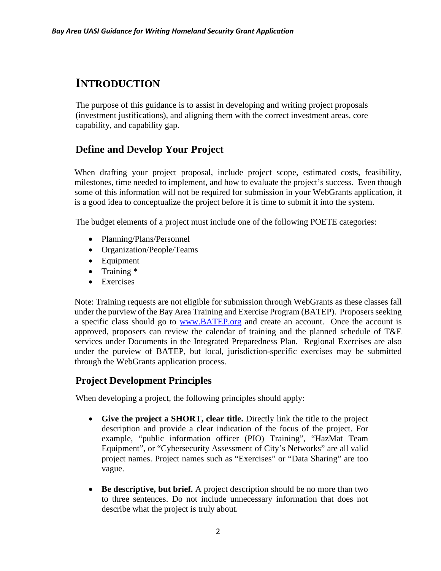# **INTRODUCTION**

The purpose of this guidance is to assist in developing and writing project proposals (investment justifications), and aligning them with the correct investment areas, core capability, and capability gap.

# **Define and Develop Your Project**

When drafting your project proposal, include project scope, estimated costs, feasibility, milestones, time needed to implement, and how to evaluate the project's success. Even though some of this information will not be required for submission in your WebGrants application, it is a good idea to conceptualize the project before it is time to submit it into the system.

The budget elements of a project must include one of the following POETE categories:

- Planning/Plans/Personnel
- Organization/People/Teams
- Equipment
- Training \*
- Exercises

Note: Training requests are not eligible for submission through WebGrants as these classes fall under the purview of the Bay Area Training and Exercise Program (BATEP). Proposers seeking a specific class should go to [www.BATEP.org](http://www.batep.org/) and create an account. Once the account is approved, proposers can review the calendar of training and the planned schedule of T&E services under Documents in the Integrated Preparedness Plan. Regional Exercises are also under the purview of BATEP, but local, jurisdiction-specific exercises may be submitted through the WebGrants application process.

# **Project Development Principles**

When developing a project, the following principles should apply:

- **Give the project a SHORT, clear title.** Directly link the title to the project description and provide a clear indication of the focus of the project. For example, "public information officer (PIO) Training", "HazMat Team Equipment", or "Cybersecurity Assessment of City's Networks" are all valid project names. Project names such as "Exercises" or "Data Sharing" are too vague.
- **Be descriptive, but brief.** A project description should be no more than two to three sentences. Do not include unnecessary information that does not describe what the project is truly about.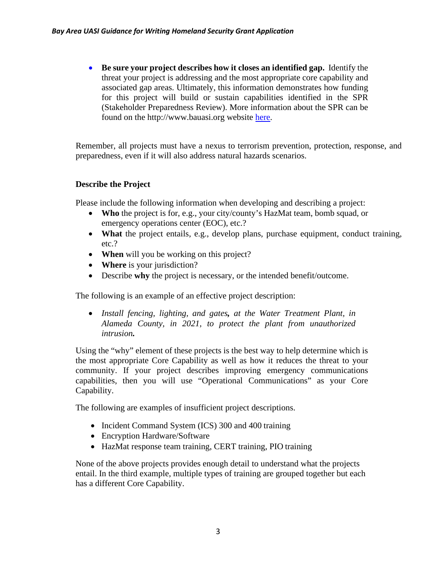• **Be sure your project describes how it closes an identified gap.** Identify the threat your project is addressing and the most appropriate core capability and associated gap areas. Ultimately, this information demonstrates how funding for this project will build or sustain capabilities identified in the SPR (Stakeholder Preparedness Review). More information about the SPR can be found on the http://www.bauasi.org website [here.](http://www.bauasi.org/bauasi.org/THIRA)

Remember, all projects must have a nexus to terrorism prevention, protection, response, and preparedness, even if it will also address natural hazards scenarios.

# **Describe the Project**

Please include the following information when developing and describing a project:

- **Who** the project is for, e.g., your city/county's HazMat team, bomb squad, or emergency operations center (EOC), etc.?
- **What** the project entails, e.g., develop plans, purchase equipment, conduct training, etc.?
- **When** will you be working on this project?
- **Where** is your jurisdiction?
- Describe **why** the project is necessary, or the intended benefit/outcome.

The following is an example of an effective project description:

• *Install fencing, lighting, and gates, at the Water Treatment Plant, in Alameda County, in 2021, to protect the plant from unauthorized intrusion.*

Using the "why" element of these projects is the best way to help determine which is the most appropriate Core Capability as well as how it reduces the threat to your community. If your project describes improving emergency communications capabilities, then you will use "Operational Communications" as your Core Capability.

The following are examples of insufficient project descriptions.

- Incident Command System (ICS) 300 and 400 training
- Encryption Hardware/Software
- HazMat response team training, CERT training, PIO training

None of the above projects provides enough detail to understand what the projects entail. In the third example, multiple types of training are grouped together but each has a different Core Capability.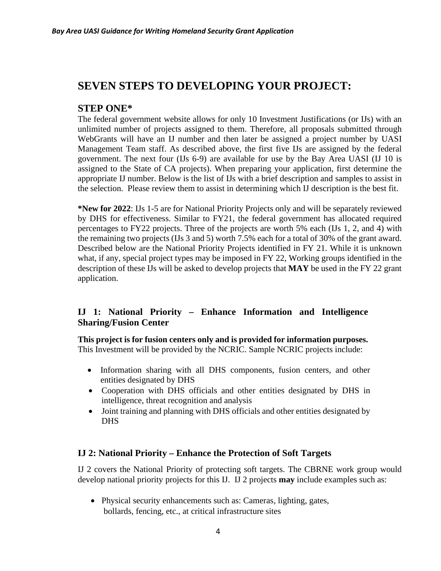# **SEVEN STEPS TO DEVELOPING YOUR PROJECT:**

# **STEP ONE\***

The federal government website allows for only 10 Investment Justifications (or IJs) with an unlimited number of projects assigned to them. Therefore, all proposals submitted through WebGrants will have an IJ number and then later be assigned a project number by UASI Management Team staff. As described above, the first five IJs are assigned by the federal government. The next four (IJs 6-9) are available for use by the Bay Area UASI (IJ 10 is assigned to the State of CA projects). When preparing your application, first determine the appropriate IJ number. Below is the list of IJs with a brief description and samples to assist in the selection. Please review them to assist in determining which IJ description is the best fit.

**\*New for 2022**: IJs 1-5 are for National Priority Projects only and will be separately reviewed by DHS for effectiveness. Similar to FY21, the federal government has allocated required percentages to FY22 projects. Three of the projects are worth 5% each (IJs 1, 2, and 4) with the remaining two projects (IJs 3 and 5) worth 7.5% each for a total of 30% of the grant award. Described below are the National Priority Projects identified in FY 21. While it is unknown what, if any, special project types may be imposed in FY 22, Working groups identified in the description of these IJs will be asked to develop projects that **MAY** be used in the FY 22 grant application.

# **IJ 1: National Priority – Enhance Information and Intelligence Sharing/Fusion Center**

**This project is for fusion centers only and is provided for information purposes.** This Investment will be provided by the NCRIC. Sample NCRIC projects include:

- Information sharing with all DHS components, fusion centers, and other entities designated by DHS
- Cooperation with DHS officials and other entities designated by DHS in intelligence, threat recognition and analysis
- Joint training and planning with DHS officials and other entities designated by **DHS**

# **IJ 2: National Priority – Enhance the Protection of Soft Targets**

IJ 2 covers the National Priority of protecting soft targets. The CBRNE work group would develop national priority projects for this IJ. IJ 2 projects **may** include examples such as:

• Physical security enhancements such as: Cameras, lighting, gates, bollards, fencing, etc., at critical infrastructure sites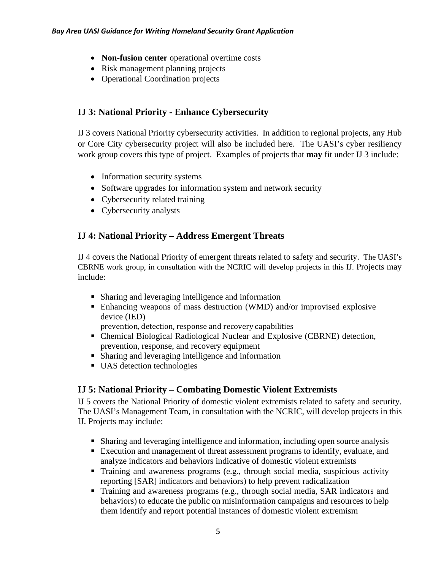- **Non-fusion center** operational overtime costs
- Risk management planning projects
- Operational Coordination projects

# **IJ 3: National Priority - Enhance Cybersecurity**

IJ 3 covers National Priority cybersecurity activities. In addition to regional projects, any Hub or Core City cybersecurity project will also be included here. The UASI's cyber resiliency work group covers this type of project. Examples of projects that **may** fit under IJ 3 include:

- Information security systems
- Software upgrades for information system and network security
- Cybersecurity related training
- Cybersecurity analysts

# **IJ 4: National Priority – Address Emergent Threats**

IJ 4 covers the National Priority of emergent threats related to safety and security. The UASI's CBRNE work group, in consultation with the NCRIC will develop projects in this IJ. Projects may include:

- Sharing and leveraging intelligence and information
- Enhancing weapons of mass destruction (WMD) and/or improvised explosive device (IED)

prevention, detection, response and recovery capabilities

- Chemical Biological Radiological Nuclear and Explosive (CBRNE) detection, prevention, response, and recovery equipment
- Sharing and leveraging intelligence and information
- UAS detection technologies

# **IJ 5: National Priority – Combating Domestic Violent Extremists**

IJ 5 covers the National Priority of domestic violent extremists related to safety and security. The UASI's Management Team, in consultation with the NCRIC, will develop projects in this IJ. Projects may include:

- Sharing and leveraging intelligence and information, including open source analysis
- Execution and management of threat assessment programs to identify, evaluate, and analyze indicators and behaviors indicative of domestic violent extremists
- Training and awareness programs (e.g., through social media, suspicious activity reporting [SAR] indicators and behaviors) to help prevent radicalization
- Training and awareness programs (e.g., through social media, SAR indicators and behaviors) to educate the public on misinformation campaigns and resources to help them identify and report potential instances of domestic violent extremism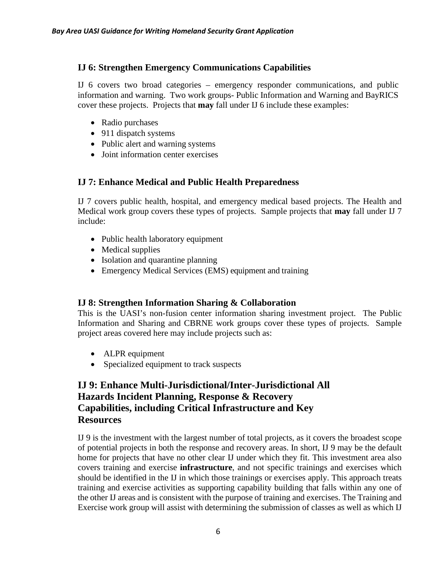# **IJ 6: Strengthen Emergency Communications Capabilities**

IJ 6 covers two broad categories – emergency responder communications, and public information and warning. Two work groups- Public Information and Warning and BayRICS cover these projects. Projects that **may** fall under IJ 6 include these examples:

- Radio purchases
- 911 dispatch systems
- Public alert and warning systems
- Joint information center exercises

# **IJ 7: Enhance Medical and Public Health Preparedness**

IJ 7 covers public health, hospital, and emergency medical based projects. The Health and Medical work group covers these types of projects. Sample projects that **may** fall under IJ 7 include:

- Public health laboratory equipment
- Medical supplies
- Isolation and quarantine planning
- Emergency Medical Services (EMS) equipment and training

# **IJ 8: Strengthen Information Sharing & Collaboration**

This is the UASI's non-fusion center information sharing investment project. The Public Information and Sharing and CBRNE work groups cover these types of projects. Sample project areas covered here may include projects such as:

- ALPR equipment
- Specialized equipment to track suspects

# **IJ 9: Enhance Multi-Jurisdictional/Inter-Jurisdictional All Hazards Incident Planning, Response & Recovery Capabilities, including Critical Infrastructure and Key Resources**

IJ 9 is the investment with the largest number of total projects, as it covers the broadest scope of potential projects in both the response and recovery areas. In short, IJ 9 may be the default home for projects that have no other clear IJ under which they fit. This investment area also covers training and exercise **infrastructure**, and not specific trainings and exercises which should be identified in the IJ in which those trainings or exercises apply. This approach treats training and exercise activities as supporting capability building that falls within any one of the other IJ areas and is consistent with the purpose of training and exercises. The Training and Exercise work group will assist with determining the submission of classes as well as which IJ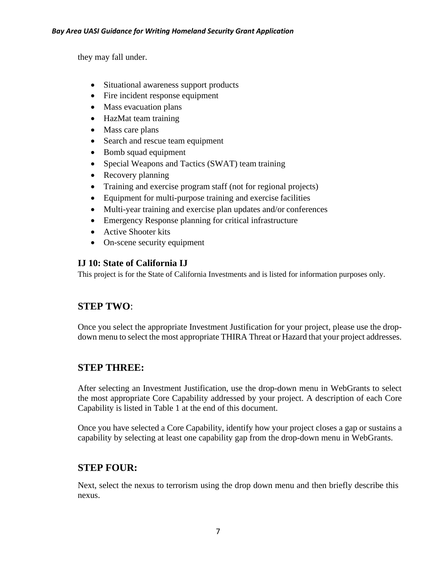they may fall under.

- Situational awareness support products
- Fire incident response equipment
- Mass evacuation plans
- HazMat team training
- Mass care plans
- Search and rescue team equipment
- Bomb squad equipment
- Special Weapons and Tactics (SWAT) team training
- Recovery planning
- Training and exercise program staff (not for regional projects)
- Equipment for multi-purpose training and exercise facilities
- Multi-year training and exercise plan updates and/or conferences
- Emergency Response planning for critical infrastructure
- Active Shooter kits
- On-scene security equipment

# **IJ 10: State of California IJ**

This project is for the State of California Investments and is listed for information purposes only.

# **STEP TWO**:

Once you select the appropriate Investment Justification for your project, please use the dropdown menu to select the most appropriate THIRA Threat or Hazard that your project addresses.

# **STEP THREE:**

After selecting an Investment Justification, use the drop-down menu in WebGrants to select the most appropriate Core Capability addressed by your project. A description of each Core Capability is listed in Table 1 at the end of this document.

Once you have selected a Core Capability, identify how your project closes a gap or sustains a capability by selecting at least one capability gap from the drop-down menu in WebGrants.

# **STEP FOUR:**

Next, select the nexus to terrorism using the drop down menu and then briefly describe this nexus.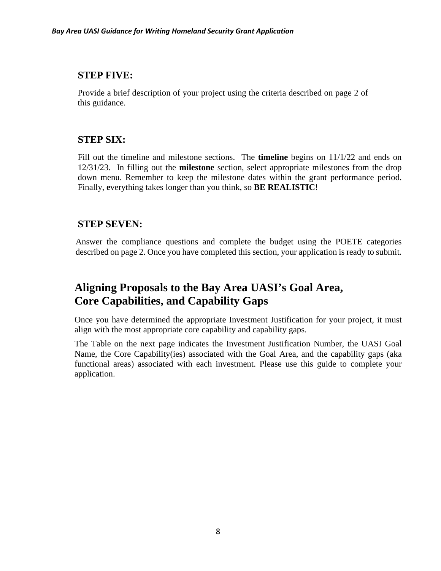# **STEP FIVE:**

Provide a brief description of your project using the criteria described on page 2 of this guidance.

# **STEP SIX:**

Fill out the timeline and milestone sections. The **timeline** begins on 11/1/22 and ends on 12/31/23. In filling out the **milestone** section, select appropriate milestones from the drop down menu. Remember to keep the milestone dates within the grant performance period. Finally, **e**verything takes longer than you think, so **BE REALISTIC**!

# **STEP SEVEN:**

Answer the compliance questions and complete the budget using the POETE categories described on page 2. Once you have completed this section, your application is ready to submit.

# **Aligning Proposals to the Bay Area UASI's Goal Area, Core Capabilities, and Capability Gaps**

Once you have determined the appropriate Investment Justification for your project, it must align with the most appropriate core capability and capability gaps.

The Table on the next page indicates the Investment Justification Number, the UASI Goal Name, the Core Capability(ies) associated with the Goal Area, and the capability gaps (aka functional areas) associated with each investment. Please use this guide to complete your application.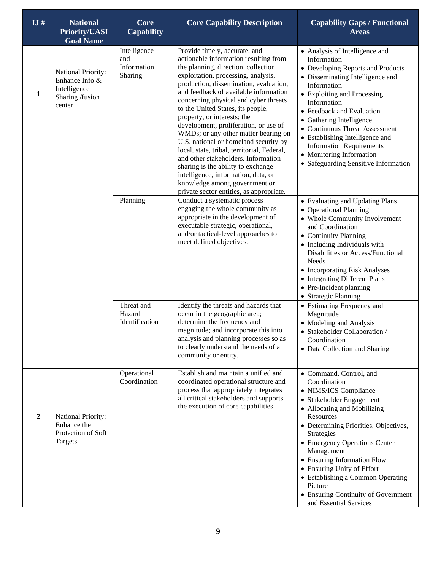| IJ#              | <b>National</b><br><b>Priority/UASI</b><br><b>Goal Name</b>                       | Core<br><b>Capability</b>                     | <b>Core Capability Description</b>                                                                                                                                                                                                                                                                                                                                                                                                                                                                                                                                                                                                                                                                                              | <b>Capability Gaps / Functional</b><br><b>Areas</b>                                                                                                                                                                                                                                                                                                                                                                          |
|------------------|-----------------------------------------------------------------------------------|-----------------------------------------------|---------------------------------------------------------------------------------------------------------------------------------------------------------------------------------------------------------------------------------------------------------------------------------------------------------------------------------------------------------------------------------------------------------------------------------------------------------------------------------------------------------------------------------------------------------------------------------------------------------------------------------------------------------------------------------------------------------------------------------|------------------------------------------------------------------------------------------------------------------------------------------------------------------------------------------------------------------------------------------------------------------------------------------------------------------------------------------------------------------------------------------------------------------------------|
| 1                | National Priority:<br>Enhance Info &<br>Intelligence<br>Sharing /fusion<br>center | Intelligence<br>and<br>Information<br>Sharing | Provide timely, accurate, and<br>actionable information resulting from<br>the planning, direction, collection,<br>exploitation, processing, analysis,<br>production, dissemination, evaluation,<br>and feedback of available information<br>concerning physical and cyber threats<br>to the United States, its people,<br>property, or interests; the<br>development, proliferation, or use of<br>WMDs; or any other matter bearing on<br>U.S. national or homeland security by<br>local, state, tribal, territorial, Federal,<br>and other stakeholders. Information<br>sharing is the ability to exchange<br>intelligence, information, data, or<br>knowledge among government or<br>private sector entities, as appropriate. | • Analysis of Intelligence and<br>Information<br>• Developing Reports and Products<br>• Disseminating Intelligence and<br>Information<br>• Exploiting and Processing<br>Information<br>• Feedback and Evaluation<br>• Gathering Intelligence<br>• Continuous Threat Assessment<br>• Establishing Intelligence and<br><b>Information Requirements</b><br>• Monitoring Information<br>• Safeguarding Sensitive Information     |
|                  |                                                                                   | Planning                                      | Conduct a systematic process<br>engaging the whole community as<br>appropriate in the development of<br>executable strategic, operational,<br>and/or tactical-level approaches to<br>meet defined objectives.                                                                                                                                                                                                                                                                                                                                                                                                                                                                                                                   | • Evaluating and Updating Plans<br>• Operational Planning<br>• Whole Community Involvement<br>and Coordination<br>• Continuity Planning<br>• Including Individuals with<br>Disabilities or Access/Functional<br><b>Needs</b><br>• Incorporating Risk Analyses<br>• Integrating Different Plans<br>• Pre-Incident planning<br>• Strategic Planning                                                                            |
|                  |                                                                                   | Threat and<br>Hazard<br>Identification        | Identify the threats and hazards that<br>occur in the geographic area;<br>determine the frequency and<br>magnitude; and incorporate this into<br>analysis and planning processes so as<br>to clearly understand the needs of a<br>community or entity.                                                                                                                                                                                                                                                                                                                                                                                                                                                                          | • Estimating Frequency and<br>Magnitude<br>• Modeling and Analysis<br>• Stakeholder Collaboration /<br>Coordination<br>• Data Collection and Sharing                                                                                                                                                                                                                                                                         |
| $\boldsymbol{2}$ | National Priority:<br>Enhance the<br>Protection of Soft<br>Targets                | Operational<br>Coordination                   | Establish and maintain a unified and<br>coordinated operational structure and<br>process that appropriately integrates<br>all critical stakeholders and supports<br>the execution of core capabilities.                                                                                                                                                                                                                                                                                                                                                                                                                                                                                                                         | • Command, Control, and<br>Coordination<br>• NIMS/ICS Compliance<br>• Stakeholder Engagement<br>• Allocating and Mobilizing<br>Resources<br>• Determining Priorities, Objectives,<br>Strategies<br>• Emergency Operations Center<br>Management<br>• Ensuring Information Flow<br>• Ensuring Unity of Effort<br>• Establishing a Common Operating<br>Picture<br>• Ensuring Continuity of Government<br>and Essential Services |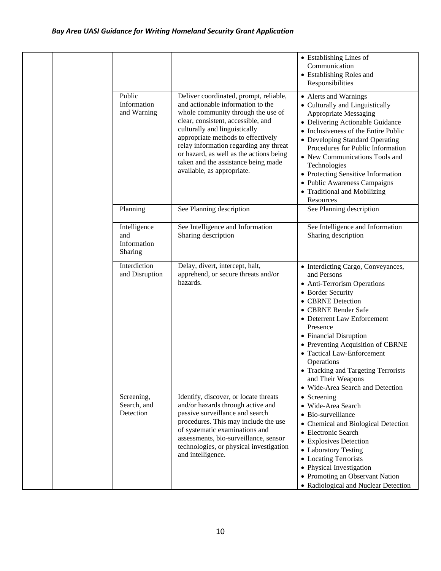|  |                                               |                                                                                                                                                                                                                                                                                                                                                                                          | • Establishing Lines of<br>Communication<br>• Establishing Roles and<br>Responsibilities                                                                                                                                                                                                                                                                                                                   |
|--|-----------------------------------------------|------------------------------------------------------------------------------------------------------------------------------------------------------------------------------------------------------------------------------------------------------------------------------------------------------------------------------------------------------------------------------------------|------------------------------------------------------------------------------------------------------------------------------------------------------------------------------------------------------------------------------------------------------------------------------------------------------------------------------------------------------------------------------------------------------------|
|  | Public<br>Information<br>and Warning          | Deliver coordinated, prompt, reliable,<br>and actionable information to the<br>whole community through the use of<br>clear, consistent, accessible, and<br>culturally and linguistically<br>appropriate methods to effectively<br>relay information regarding any threat<br>or hazard, as well as the actions being<br>taken and the assistance being made<br>available, as appropriate. | • Alerts and Warnings<br>• Culturally and Linguistically<br>Appropriate Messaging<br>• Delivering Actionable Guidance<br>• Inclusiveness of the Entire Public<br>• Developing Standard Operating<br>Procedures for Public Information<br>• New Communications Tools and<br>Technologies<br>• Protecting Sensitive Information<br>• Public Awareness Campaigns<br>• Traditional and Mobilizing<br>Resources |
|  | Planning                                      | See Planning description                                                                                                                                                                                                                                                                                                                                                                 | See Planning description                                                                                                                                                                                                                                                                                                                                                                                   |
|  | Intelligence<br>and<br>Information<br>Sharing | See Intelligence and Information<br>Sharing description                                                                                                                                                                                                                                                                                                                                  | See Intelligence and Information<br>Sharing description                                                                                                                                                                                                                                                                                                                                                    |
|  | Interdiction<br>and Disruption                | Delay, divert, intercept, halt,<br>apprehend, or secure threats and/or<br>hazards.                                                                                                                                                                                                                                                                                                       | • Interdicting Cargo, Conveyances,<br>and Persons<br>• Anti-Terrorism Operations<br>• Border Security<br>• CBRNE Detection<br>• CBRNE Render Safe<br>• Deterrent Law Enforcement<br>Presence<br>• Financial Disruption<br>• Preventing Acquisition of CBRNE<br>• Tactical Law-Enforcement<br>Operations<br>• Tracking and Targeting Terrorists<br>and Their Weapons<br>• Wide-Area Search and Detection    |
|  | Screening,<br>Search, and<br>Detection        | Identify, discover, or locate threats<br>and/or hazards through active and<br>passive surveillance and search<br>procedures. This may include the use<br>of systematic examinations and<br>assessments, bio-surveillance, sensor<br>technologies, or physical investigation<br>and intelligence.                                                                                         | • Screening<br>· Wide-Area Search<br>· Bio-surveillance<br>• Chemical and Biological Detection<br>• Electronic Search<br>• Explosives Detection<br>• Laboratory Testing<br>• Locating Terrorists<br>• Physical Investigation<br>• Promoting an Observant Nation<br>• Radiological and Nuclear Detection                                                                                                    |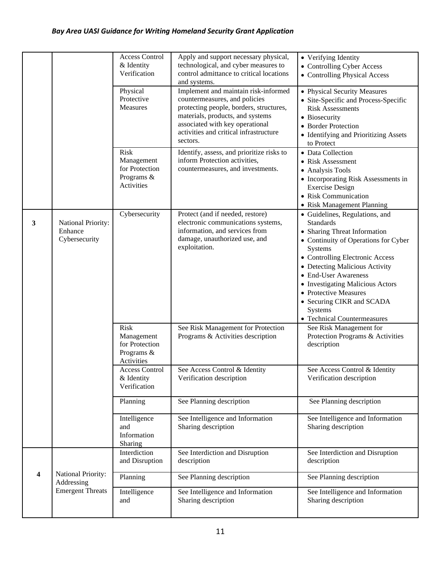|                         |                                                | <b>Access Control</b><br>& Identity<br>Verification                     | Apply and support necessary physical,<br>technological, and cyber measures to<br>control admittance to critical locations<br>and systems.                                                                                                     | • Verifying Identity<br>• Controlling Cyber Access<br>• Controlling Physical Access                                                                                                                                                                                                                                                                                    |
|-------------------------|------------------------------------------------|-------------------------------------------------------------------------|-----------------------------------------------------------------------------------------------------------------------------------------------------------------------------------------------------------------------------------------------|------------------------------------------------------------------------------------------------------------------------------------------------------------------------------------------------------------------------------------------------------------------------------------------------------------------------------------------------------------------------|
|                         |                                                | Physical<br>Protective<br>Measures                                      | Implement and maintain risk-informed<br>countermeasures, and policies<br>protecting people, borders, structures,<br>materials, products, and systems<br>associated with key operational<br>activities and critical infrastructure<br>sectors. | • Physical Security Measures<br>• Site-Specific and Process-Specific<br><b>Risk Assessments</b><br>• Biosecurity<br>• Border Protection<br>• Identifying and Prioritizing Assets<br>to Protect                                                                                                                                                                         |
|                         |                                                | <b>Risk</b><br>Management<br>for Protection<br>Programs &<br>Activities | Identify, assess, and prioritize risks to<br>inform Protection activities,<br>countermeasures, and investments.                                                                                                                               | • Data Collection<br>• Risk Assessment<br>• Analysis Tools<br>• Incorporating Risk Assessments in<br><b>Exercise Design</b><br>• Risk Communication<br>• Risk Management Planning                                                                                                                                                                                      |
| 3                       | National Priority:<br>Enhance<br>Cybersecurity | Cybersecurity                                                           | Protect (and if needed, restore)<br>electronic communications systems,<br>information, and services from<br>damage, unauthorized use, and<br>exploitation.                                                                                    | • Guidelines, Regulations, and<br><b>Standards</b><br>• Sharing Threat Information<br>• Continuity of Operations for Cyber<br>Systems<br>• Controlling Electronic Access<br>• Detecting Malicious Activity<br>• End-User Awareness<br>• Investigating Malicious Actors<br>• Protective Measures<br>• Securing CIKR and SCADA<br>Systems<br>• Technical Countermeasures |
|                         |                                                | <b>Risk</b><br>Management<br>for Protection<br>Programs &<br>Activities | See Risk Management for Protection<br>Programs & Activities description                                                                                                                                                                       | See Risk Management for<br>Protection Programs & Activities<br>description                                                                                                                                                                                                                                                                                             |
|                         |                                                | <b>Access Control</b><br>& Identity<br>Verification                     | See Access Control & Identity<br>Verification description                                                                                                                                                                                     | See Access Control & Identity<br>Verification description                                                                                                                                                                                                                                                                                                              |
|                         |                                                | Planning                                                                | See Planning description                                                                                                                                                                                                                      | See Planning description                                                                                                                                                                                                                                                                                                                                               |
|                         |                                                | Intelligence<br>and<br>Information<br>Sharing                           | See Intelligence and Information<br>Sharing description                                                                                                                                                                                       | See Intelligence and Information<br>Sharing description                                                                                                                                                                                                                                                                                                                |
|                         |                                                | Interdiction<br>and Disruption                                          | See Interdiction and Disruption<br>description                                                                                                                                                                                                | See Interdiction and Disruption<br>description                                                                                                                                                                                                                                                                                                                         |
| $\overline{\mathbf{4}}$ | National Priority:<br>Addressing               | Planning                                                                | See Planning description                                                                                                                                                                                                                      | See Planning description                                                                                                                                                                                                                                                                                                                                               |
|                         | <b>Emergent Threats</b>                        | Intelligence<br>and                                                     | See Intelligence and Information<br>Sharing description                                                                                                                                                                                       | See Intelligence and Information<br>Sharing description                                                                                                                                                                                                                                                                                                                |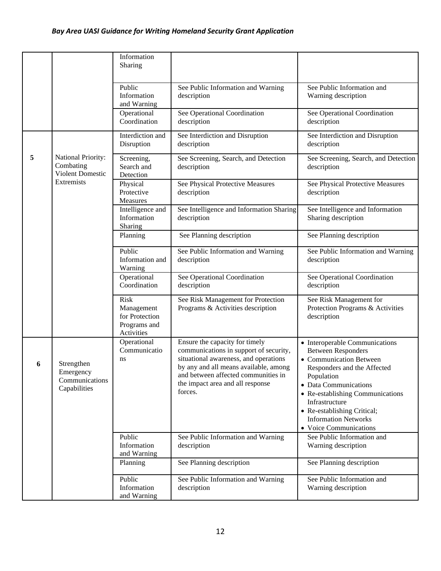|   |                                                            | Information<br>Sharing                                                    |                                                                                                                                                                                                                                                  |                                                                                                                                                                                                                                                                                                            |
|---|------------------------------------------------------------|---------------------------------------------------------------------------|--------------------------------------------------------------------------------------------------------------------------------------------------------------------------------------------------------------------------------------------------|------------------------------------------------------------------------------------------------------------------------------------------------------------------------------------------------------------------------------------------------------------------------------------------------------------|
|   |                                                            | Public<br>Information<br>and Warning                                      | See Public Information and Warning<br>description                                                                                                                                                                                                | See Public Information and<br>Warning description                                                                                                                                                                                                                                                          |
|   |                                                            | Operational<br>Coordination                                               | See Operational Coordination<br>description                                                                                                                                                                                                      | See Operational Coordination<br>description                                                                                                                                                                                                                                                                |
|   |                                                            | Interdiction and<br>Disruption                                            | See Interdiction and Disruption<br>description                                                                                                                                                                                                   | See Interdiction and Disruption<br>description                                                                                                                                                                                                                                                             |
| 5 | National Priority:<br>Combating<br><b>Violent Domestic</b> | Screening,<br>Search and<br>Detection                                     | See Screening, Search, and Detection<br>description                                                                                                                                                                                              | See Screening, Search, and Detection<br>description                                                                                                                                                                                                                                                        |
|   | Extremists                                                 | Physical<br>Protective<br>Measures                                        | See Physical Protective Measures<br>description                                                                                                                                                                                                  | See Physical Protective Measures<br>description                                                                                                                                                                                                                                                            |
|   |                                                            | Intelligence and<br>Information<br>Sharing                                | See Intelligence and Information Sharing<br>description                                                                                                                                                                                          | See Intelligence and Information<br>Sharing description                                                                                                                                                                                                                                                    |
|   |                                                            | Planning                                                                  | See Planning description                                                                                                                                                                                                                         | See Planning description                                                                                                                                                                                                                                                                                   |
|   |                                                            | Public<br>Information and<br>Warning                                      | See Public Information and Warning<br>description                                                                                                                                                                                                | See Public Information and Warning<br>description                                                                                                                                                                                                                                                          |
|   |                                                            | Operational<br>Coordination                                               | See Operational Coordination<br>description                                                                                                                                                                                                      | See Operational Coordination<br>description                                                                                                                                                                                                                                                                |
|   |                                                            | <b>Risk</b><br>Management<br>for Protection<br>Programs and<br>Activities | See Risk Management for Protection<br>Programs & Activities description                                                                                                                                                                          | See Risk Management for<br>Protection Programs & Activities<br>description                                                                                                                                                                                                                                 |
| 6 | Strengthen<br>Emergency<br>Communications<br>Capabilities  | Operational<br>Communicatio<br>ns                                         | Ensure the capacity for timely<br>communications in support of security,<br>situational awareness, and operations<br>by any and all means available, among<br>and between affected communities in<br>the impact area and all response<br>forces. | • Interoperable Communications<br><b>Between Responders</b><br>• Communication Between<br>Responders and the Affected<br>Population<br>• Data Communications<br>• Re-establishing Communications<br>Infrastructure<br>• Re-establishing Critical;<br><b>Information Networks</b><br>• Voice Communications |
|   |                                                            | Public<br>Information<br>and Warning                                      | See Public Information and Warning<br>description                                                                                                                                                                                                | See Public Information and<br>Warning description                                                                                                                                                                                                                                                          |
|   |                                                            | Planning                                                                  | See Planning description                                                                                                                                                                                                                         | See Planning description                                                                                                                                                                                                                                                                                   |
|   |                                                            | Public<br>Information<br>and Warning                                      | See Public Information and Warning<br>description                                                                                                                                                                                                | See Public Information and<br>Warning description                                                                                                                                                                                                                                                          |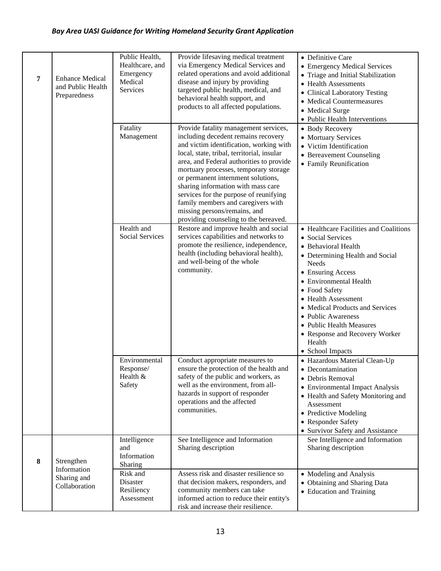| 7 | <b>Enhance Medical</b><br>and Public Health<br>Preparedness | Public Health,<br>Healthcare, and<br>Emergency<br>Medical<br>Services<br>Fatality                 | Provide lifesaving medical treatment<br>via Emergency Medical Services and<br>related operations and avoid additional<br>disease and injury by providing<br>targeted public health, medical, and<br>behavioral health support, and<br>products to all affected populations.<br>Provide fatality management services,                                                                                                                                   | • Definitive Care<br>• Emergency Medical Services<br>• Triage and Initial Stabilization<br>• Health Assessments<br>• Clinical Laboratory Testing<br>• Medical Countermeasures<br>• Medical Surge<br>• Public Health Interventions<br>• Body Recovery                                                                                                                              |
|---|-------------------------------------------------------------|---------------------------------------------------------------------------------------------------|--------------------------------------------------------------------------------------------------------------------------------------------------------------------------------------------------------------------------------------------------------------------------------------------------------------------------------------------------------------------------------------------------------------------------------------------------------|-----------------------------------------------------------------------------------------------------------------------------------------------------------------------------------------------------------------------------------------------------------------------------------------------------------------------------------------------------------------------------------|
|   |                                                             | Management                                                                                        | including decedent remains recovery<br>and victim identification, working with<br>local, state, tribal, territorial, insular<br>area, and Federal authorities to provide<br>mortuary processes, temporary storage<br>or permanent internment solutions,<br>sharing information with mass care<br>services for the purpose of reunifying<br>family members and caregivers with<br>missing persons/remains, and<br>providing counseling to the bereaved. | • Mortuary Services<br>• Victim Identification<br>• Bereavement Counseling<br>• Family Reunification                                                                                                                                                                                                                                                                              |
|   |                                                             | Health and<br>Social Services                                                                     | Restore and improve health and social<br>services capabilities and networks to<br>promote the resilience, independence,<br>health (including behavioral health),<br>and well-being of the whole<br>community.                                                                                                                                                                                                                                          | • Healthcare Facilities and Coalitions<br>• Social Services<br>• Behavioral Health<br>• Determining Health and Social<br><b>Needs</b><br>• Ensuring Access<br>• Environmental Health<br>• Food Safety<br>• Health Assessment<br>• Medical Products and Services<br>• Public Awareness<br>• Public Health Measures<br>• Response and Recovery Worker<br>Health<br>• School Impacts |
|   |                                                             | Environmental<br>Response/<br>Health &<br>Safety                                                  | Conduct appropriate measures to<br>ensure the protection of the health and<br>safety of the public and workers, as<br>well as the environment, from all-<br>hazards in support of responder<br>operations and the affected<br>communities.                                                                                                                                                                                                             | · Hazardous Material Clean-Up<br>• Decontamination<br>• Debris Removal<br>• Environmental Impact Analysis<br>• Health and Safety Monitoring and<br>Assessment<br>• Predictive Modeling<br>• Responder Safety<br>• Survivor Safety and Assistance                                                                                                                                  |
| 8 | Strengthen<br>Information<br>Sharing and<br>Collaboration   | Intelligence<br>and<br>Information<br>Sharing<br>Risk and<br>Disaster<br>Resiliency<br>Assessment | See Intelligence and Information<br>Sharing description<br>Assess risk and disaster resilience so<br>that decision makers, responders, and<br>community members can take<br>informed action to reduce their entity's<br>risk and increase their resilience.                                                                                                                                                                                            | See Intelligence and Information<br>Sharing description<br>• Modeling and Analysis<br>• Obtaining and Sharing Data<br>• Education and Training                                                                                                                                                                                                                                    |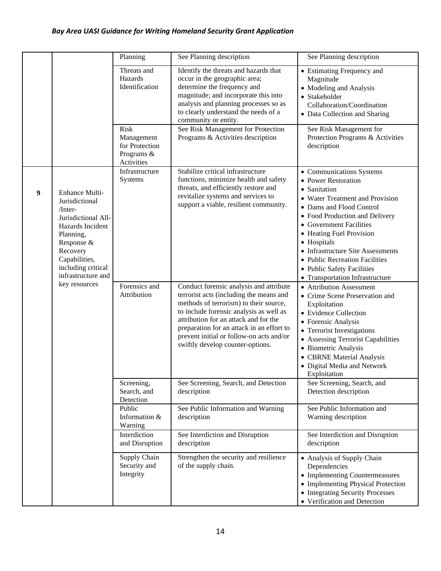|   |                                                                                                                                                                                            | Planning                                                         | See Planning description                                                                                                                                                                                                                                                                                                                      | See Planning description                                                                                                                                                                                                                                                                                                                                                       |
|---|--------------------------------------------------------------------------------------------------------------------------------------------------------------------------------------------|------------------------------------------------------------------|-----------------------------------------------------------------------------------------------------------------------------------------------------------------------------------------------------------------------------------------------------------------------------------------------------------------------------------------------|--------------------------------------------------------------------------------------------------------------------------------------------------------------------------------------------------------------------------------------------------------------------------------------------------------------------------------------------------------------------------------|
|   |                                                                                                                                                                                            | Threats and<br>Hazards<br>Identification                         | Identify the threats and hazards that<br>occur in the geographic area;<br>determine the frequency and<br>magnitude; and incorporate this into<br>analysis and planning processes so as<br>to clearly understand the needs of a<br>community or entity.                                                                                        | • Estimating Frequency and<br>Magnitude<br>• Modeling and Analysis<br>• Stakeholder<br>Collaboration/Coordination<br>• Data Collection and Sharing                                                                                                                                                                                                                             |
|   |                                                                                                                                                                                            | Risk<br>Management<br>for Protection<br>Programs &<br>Activities | See Risk Management for Protection<br>Programs & Activities description                                                                                                                                                                                                                                                                       | See Risk Management for<br>Protection Programs & Activities<br>description                                                                                                                                                                                                                                                                                                     |
| 9 | Enhance Multi-<br>Jurisdictional<br>/Inter-<br>Jurisdictional All-<br>Hazards Incident<br>Planning,<br>Response &<br>Recovery<br>Capabilities,<br>including critical<br>infrastructure and | Infrastructure<br>Systems                                        | Stabilize critical infrastructure<br>functions, minimize health and safety<br>threats, and efficiently restore and<br>revitalize systems and services to<br>support a viable, resilient community.                                                                                                                                            | • Communications Systems<br>• Power Restoration<br>• Sanitation<br>• Water Treatment and Provision<br>• Dams and Flood Control<br>• Food Production and Delivery<br>• Government Facilities<br>• Heating Fuel Provision<br>• Hospitals<br>• Infrastructure Site Assessments<br>• Public Recreation Facilities<br>• Public Safety Facilities<br>• Transportation Infrastructure |
|   | key resources                                                                                                                                                                              | Forensics and<br>Attribution                                     | Conduct forensic analysis and attribute<br>terrorist acts (including the means and<br>methods of terrorism) to their source,<br>to include forensic analysis as well as<br>attribution for an attack and for the<br>preparation for an attack in an effort to<br>prevent initial or follow-on acts and/or<br>swiftly develop counter-options. | • Attribution Assessment<br>• Crime Scene Preservation and<br>Exploitation<br>• Evidence Collection<br>• Forensic Analysis<br>• Terrorist Investigations<br>• Assessing Terrorist Capabilities<br>• Biometric Analysis<br>• CBRNE Material Analysis<br>· Digital Media and Network<br>Exploitation                                                                             |
|   |                                                                                                                                                                                            | Screening,<br>Search, and<br>Detection<br>Public                 | See Screening, Search, and Detection<br>description<br>See Public Information and Warning                                                                                                                                                                                                                                                     | See Screening, Search, and<br>Detection description<br>See Public Information and                                                                                                                                                                                                                                                                                              |
|   |                                                                                                                                                                                            | Information &<br>Warning                                         | description                                                                                                                                                                                                                                                                                                                                   | Warning description                                                                                                                                                                                                                                                                                                                                                            |
|   |                                                                                                                                                                                            | Interdiction<br>and Disruption                                   | See Interdiction and Disruption<br>description                                                                                                                                                                                                                                                                                                | See Interdiction and Disruption<br>description                                                                                                                                                                                                                                                                                                                                 |
|   |                                                                                                                                                                                            | Supply Chain<br>Security and<br>Integrity                        | Strengthen the security and resilience<br>of the supply chain.                                                                                                                                                                                                                                                                                | • Analysis of Supply Chain<br>Dependencies<br>• Implementing Countermeasures<br>• Implementing Physical Protection<br>• Integrating Security Processes<br>• Verification and Detection                                                                                                                                                                                         |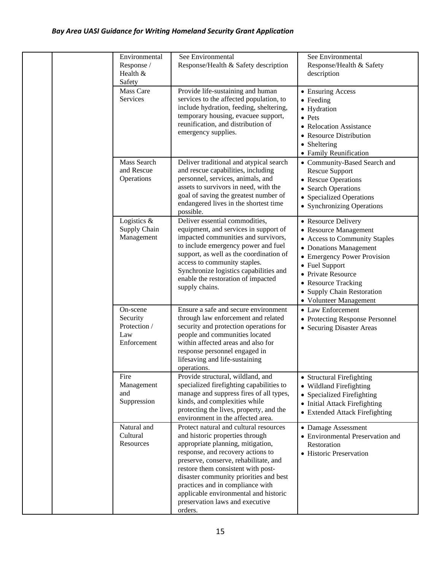| Environmental<br>Response /<br>Health $&$<br>Safety        | See Environmental<br>Response/Health & Safety description                                                                                                                                                                                                                                                                                                                                               | See Environmental<br>Response/Health & Safety<br>description                                                                                                                                                                                                  |
|------------------------------------------------------------|---------------------------------------------------------------------------------------------------------------------------------------------------------------------------------------------------------------------------------------------------------------------------------------------------------------------------------------------------------------------------------------------------------|---------------------------------------------------------------------------------------------------------------------------------------------------------------------------------------------------------------------------------------------------------------|
| Mass Care<br>Services                                      | Provide life-sustaining and human<br>services to the affected population, to<br>include hydration, feeding, sheltering,<br>temporary housing, evacuee support,<br>reunification, and distribution of<br>emergency supplies.                                                                                                                                                                             | • Ensuring Access<br>$\bullet$ Feeding<br>• Hydration<br>• Pets<br>• Relocation Assistance<br>• Resource Distribution<br>• Sheltering<br>• Family Reunification                                                                                               |
| Mass Search<br>and Rescue<br>Operations                    | Deliver traditional and atypical search<br>and rescue capabilities, including<br>personnel, services, animals, and<br>assets to survivors in need, with the<br>goal of saving the greatest number of<br>endangered lives in the shortest time<br>possible.                                                                                                                                              | • Community-Based Search and<br><b>Rescue Support</b><br>• Rescue Operations<br>• Search Operations<br>• Specialized Operations<br>• Synchronizing Operations                                                                                                 |
| Logistics $\&$<br>Supply Chain<br>Management               | Deliver essential commodities,<br>equipment, and services in support of<br>impacted communities and survivors,<br>to include emergency power and fuel<br>support, as well as the coordination of<br>access to community staples.<br>Synchronize logistics capabilities and<br>enable the restoration of impacted<br>supply chains.                                                                      | • Resource Delivery<br>• Resource Management<br>• Access to Community Staples<br>• Donations Management<br>• Emergency Power Provision<br>• Fuel Support<br>• Private Resource<br>• Resource Tracking<br>• Supply Chain Restoration<br>• Volunteer Management |
| On-scene<br>Security<br>Protection /<br>Law<br>Enforcement | Ensure a safe and secure environment<br>through law enforcement and related<br>security and protection operations for<br>people and communities located<br>within affected areas and also for<br>response personnel engaged in<br>lifesaving and life-sustaining<br>operations.                                                                                                                         | • Law Enforcement<br>• Protecting Response Personnel<br>• Securing Disaster Areas                                                                                                                                                                             |
| Fire<br>Management<br>and<br>Suppression                   | Provide structural, wildland, and<br>specialized firefighting capabilities to<br>manage and suppress fires of all types,<br>kinds, and complexities while<br>protecting the lives, property, and the<br>environment in the affected area.                                                                                                                                                               | • Structural Firefighting<br>• Wildland Firefighting<br>• Specialized Firefighting<br>• Initial Attack Firefighting<br>• Extended Attack Firefighting                                                                                                         |
| Natural and<br>Cultural<br>Resources                       | Protect natural and cultural resources<br>and historic properties through<br>appropriate planning, mitigation,<br>response, and recovery actions to<br>preserve, conserve, rehabilitate, and<br>restore them consistent with post-<br>disaster community priorities and best<br>practices and in compliance with<br>applicable environmental and historic<br>preservation laws and executive<br>orders. | • Damage Assessment<br>• Environmental Preservation and<br>Restoration<br>• Historic Preservation                                                                                                                                                             |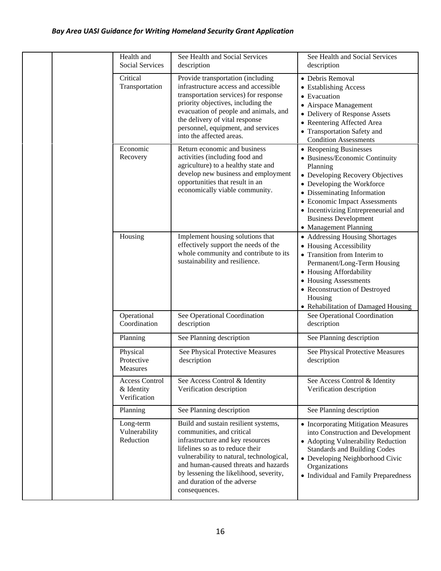|  |                             | Health and<br><b>Social Services</b>                                                                                                                                                                                                                                                                  | See Health and Social Services<br>description                                                                                                                                                                                                                                                                          | See Health and Social Services<br>description                                                                                                                                                                                                     |
|--|-----------------------------|-------------------------------------------------------------------------------------------------------------------------------------------------------------------------------------------------------------------------------------------------------------------------------------------------------|------------------------------------------------------------------------------------------------------------------------------------------------------------------------------------------------------------------------------------------------------------------------------------------------------------------------|---------------------------------------------------------------------------------------------------------------------------------------------------------------------------------------------------------------------------------------------------|
|  | Critical<br>Transportation  | Provide transportation (including<br>infrastructure access and accessible<br>transportation services) for response<br>priority objectives, including the<br>evacuation of people and animals, and<br>the delivery of vital response<br>personnel, equipment, and services<br>into the affected areas. | • Debris Removal<br>• Establishing Access<br>• Evacuation<br>• Airspace Management<br>• Delivery of Response Assets<br>• Reentering Affected Area<br>• Transportation Safety and<br><b>Condition Assessments</b>                                                                                                       |                                                                                                                                                                                                                                                   |
|  | Economic<br>Recovery        | Return economic and business<br>activities (including food and<br>agriculture) to a healthy state and<br>develop new business and employment<br>opportunities that result in an<br>economically viable community.                                                                                     | • Reopening Businesses<br>• Business/Economic Continuity<br>Planning<br>• Developing Recovery Objectives<br>• Developing the Workforce<br>• Disseminating Information<br>• Economic Impact Assessments<br>• Incentivizing Entrepreneurial and<br><b>Business Development</b><br>• Management Planning                  |                                                                                                                                                                                                                                                   |
|  | Housing                     | Implement housing solutions that<br>effectively support the needs of the<br>whole community and contribute to its<br>sustainability and resilience.                                                                                                                                                   | • Addressing Housing Shortages<br>• Housing Accessibility<br>• Transition from Interim to<br>Permanent/Long-Term Housing<br>• Housing Affordability<br>• Housing Assessments<br>• Reconstruction of Destroyed<br>Housing<br>• Rehabilitation of Damaged Housing                                                        |                                                                                                                                                                                                                                                   |
|  | Operational<br>Coordination | See Operational Coordination<br>description                                                                                                                                                                                                                                                           | See Operational Coordination<br>description                                                                                                                                                                                                                                                                            |                                                                                                                                                                                                                                                   |
|  |                             | Planning                                                                                                                                                                                                                                                                                              | See Planning description                                                                                                                                                                                                                                                                                               | See Planning description                                                                                                                                                                                                                          |
|  |                             | Physical<br>Protective<br>Measures                                                                                                                                                                                                                                                                    | See Physical Protective Measures<br>description                                                                                                                                                                                                                                                                        | See Physical Protective Measures<br>description                                                                                                                                                                                                   |
|  |                             | <b>Access Control</b><br>& Identity<br>Verification                                                                                                                                                                                                                                                   | See Access Control & Identity<br>Verification description                                                                                                                                                                                                                                                              | See Access Control & Identity<br>Verification description                                                                                                                                                                                         |
|  |                             | Planning                                                                                                                                                                                                                                                                                              | See Planning description                                                                                                                                                                                                                                                                                               | See Planning description                                                                                                                                                                                                                          |
|  |                             | Long-term<br>Vulnerability<br>Reduction                                                                                                                                                                                                                                                               | Build and sustain resilient systems,<br>communities, and critical<br>infrastructure and key resources<br>lifelines so as to reduce their<br>vulnerability to natural, technological,<br>and human-caused threats and hazards<br>by lessening the likelihood, severity,<br>and duration of the adverse<br>consequences. | • Incorporating Mitigation Measures<br>into Construction and Development<br>• Adopting Vulnerability Reduction<br><b>Standards and Building Codes</b><br>• Developing Neighborhood Civic<br>Organizations<br>• Individual and Family Preparedness |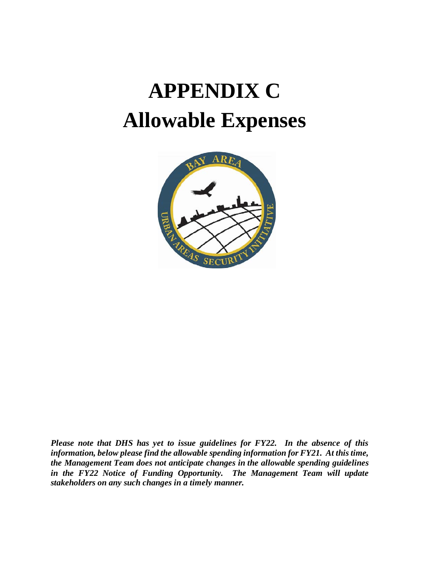# **APPENDIX C Allowable Expenses**



*Please note that DHS has yet to issue guidelines for FY22. In the absence of this information, below please find the allowable spending information for FY21. At this time, the Management Team does not anticipate changes in the allowable spending guidelines in the FY22 Notice of Funding Opportunity. The Management Team will update stakeholders on any such changes in a timely manner.*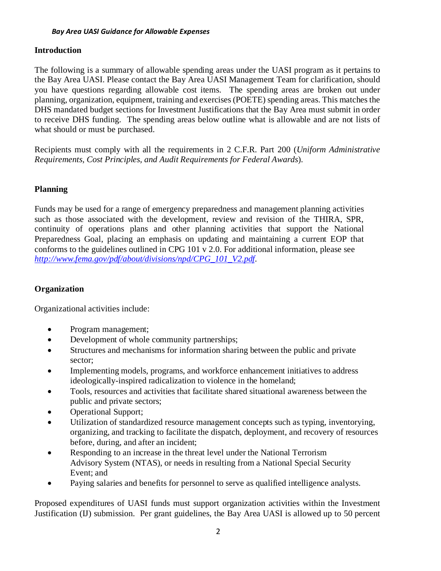#### **Introduction**

The following is a summary of allowable spending areas under the UASI program as it pertains to the Bay Area UASI. Please contact the Bay Area UASI Management Team for clarification, should you have questions regarding allowable cost items. The spending areas are broken out under planning, organization, equipment, training and exercises (POETE) spending areas. This matches the DHS mandated budget sections for Investment Justifications that the Bay Area must submit in order to receive DHS funding. The spending areas below outline what is allowable and are not lists of what should or must be purchased.

Recipients must comply with all the requirements in 2 C.F.R. Part 200 (*Uniform Administrative Requirements, Cost Principles, and Audit Requirements for Federal Awards*).

# **Planning**

Funds may be used for a range of emergency preparedness and management planning activities such as those associated with the development, review and revision of the THIRA, SPR, continuity of operations plans and other planning activities that support the National Preparedness Goal, placing an emphasis on updating and maintaining a current EOP that conforms to the guidelines outlined in CPG 101 v 2.0. For additional information, please see *[http://www.fema.gov/pdf/about/divisions/npd/CPG\\_101\\_V2.pdf](http://www.fema.gov/pdf/about/divisions/npd/CPG_101_V2.pdf)*.

#### **Organization**

Organizational activities include:

- Program management;
- Development of whole community partnerships;
- Structures and mechanisms for information sharing between the public and private sector;
- Implementing models, programs, and workforce enhancement initiatives to address ideologically-inspired radicalization to violence in the homeland;
- Tools, resources and activities that facilitate shared situational awareness between the public and private sectors;
- Operational Support;
- Utilization of standardized resource management concepts such as typing, inventorying, organizing, and tracking to facilitate the dispatch, deployment, and recovery of resources before, during, and after an incident;
- Responding to an increase in the threat level under the National Terrorism Advisory System (NTAS), or needs in resulting from a National Special Security Event; and
- Paying salaries and benefits for personnel to serve as qualified intelligence analysts.

Proposed expenditures of UASI funds must support organization activities within the Investment Justification (IJ) submission. Per grant guidelines, the Bay Area UASI is allowed up to 50 percent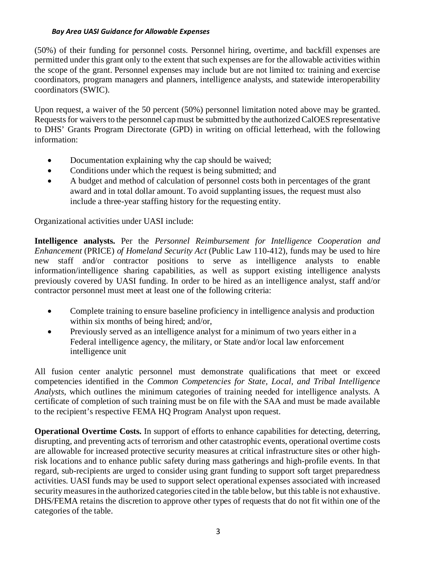(50%) of their funding for personnel costs. Personnel hiring, overtime, and backfill expenses are permitted under this grant only to the extent that such expenses are for the allowable activities within the scope of the grant. Personnel expenses may include but are not limited to: training and exercise coordinators, program managers and planners, intelligence analysts, and statewide interoperability coordinators (SWIC).

Upon request, a waiver of the 50 percent (50%) personnel limitation noted above may be granted. Requests for waivers to the personnel cap must be submitted by the authorized CalOES representative to DHS' Grants Program Directorate (GPD) in writing on official letterhead, with the following information:

- Documentation explaining why the cap should be waived;
- Conditions under which the request is being submitted; and
- A budget and method of calculation of personnel costs both in percentages of the grant award and in total dollar amount. To avoid supplanting issues, the request must also include a three-year staffing history for the requesting entity.

Organizational activities under UASI include:

**Intelligence analysts.** Per the *Personnel Reimbursement for Intelligence Cooperation and Enhancement* (PRICE) *of Homeland Security Act* (Public Law 110-412), funds may be used to hire new staff and/or contractor positions to serve as intelligence analysts to enable information/intelligence sharing capabilities, as well as support existing intelligence analysts previously covered by UASI funding. In order to be hired as an intelligence analyst, staff and/or contractor personnel must meet at least one of the following criteria:

- Complete training to ensure baseline proficiency in intelligence analysis and production within six months of being hired; and/or,
- Previously served as an intelligence analyst for a minimum of two years either in a Federal intelligence agency, the military, or State and/or local law enforcement intelligence unit

All fusion center analytic personnel must demonstrate qualifications that meet or exceed competencies identified in the *Common Competencies for State, Local, and Tribal Intelligence Analysts*, which outlines the minimum categories of training needed for intelligence analysts. A certificate of completion of such training must be on file with the SAA and must be made available to the recipient's respective FEMA HQ Program Analyst upon request.

**Operational Overtime Costs.** In support of efforts to enhance capabilities for detecting, deterring, disrupting, and preventing acts of terrorism and other catastrophic events, operational overtime costs are allowable for increased protective security measures at critical infrastructure sites or other highrisk locations and to enhance public safety during mass gatherings and high-profile events. In that regard, sub-recipients are urged to consider using grant funding to support soft target preparedness activities. UASI funds may be used to support select operational expenses associated with increased security measures in the authorized categories cited in the table below, but this table is not exhaustive. DHS/FEMA retains the discretion to approve other types of requests that do not fit within one of the categories of the table.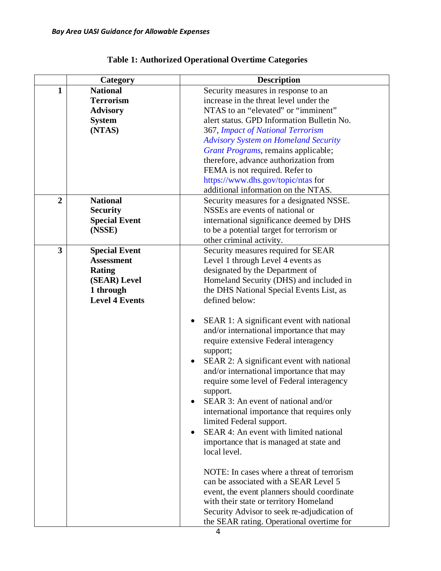|                | Category              | <b>Description</b>                                                                                                                                                                                                                                                                                                                                                                                                                                                                                                                                                                                                                                                                                                    |
|----------------|-----------------------|-----------------------------------------------------------------------------------------------------------------------------------------------------------------------------------------------------------------------------------------------------------------------------------------------------------------------------------------------------------------------------------------------------------------------------------------------------------------------------------------------------------------------------------------------------------------------------------------------------------------------------------------------------------------------------------------------------------------------|
| $\mathbf{1}$   | <b>National</b>       | Security measures in response to an                                                                                                                                                                                                                                                                                                                                                                                                                                                                                                                                                                                                                                                                                   |
|                | <b>Terrorism</b>      | increase in the threat level under the                                                                                                                                                                                                                                                                                                                                                                                                                                                                                                                                                                                                                                                                                |
|                | <b>Advisory</b>       | NTAS to an "elevated" or "imminent"                                                                                                                                                                                                                                                                                                                                                                                                                                                                                                                                                                                                                                                                                   |
|                | <b>System</b>         | alert status. GPD Information Bulletin No.                                                                                                                                                                                                                                                                                                                                                                                                                                                                                                                                                                                                                                                                            |
|                | (NTAS)                | 367, Impact of National Terrorism                                                                                                                                                                                                                                                                                                                                                                                                                                                                                                                                                                                                                                                                                     |
|                |                       | <b>Advisory System on Homeland Security</b>                                                                                                                                                                                                                                                                                                                                                                                                                                                                                                                                                                                                                                                                           |
|                |                       | Grant Programs, remains applicable;                                                                                                                                                                                                                                                                                                                                                                                                                                                                                                                                                                                                                                                                                   |
|                |                       | therefore, advance authorization from                                                                                                                                                                                                                                                                                                                                                                                                                                                                                                                                                                                                                                                                                 |
|                |                       | FEMA is not required. Refer to                                                                                                                                                                                                                                                                                                                                                                                                                                                                                                                                                                                                                                                                                        |
|                |                       | https://www.dhs.gov/topic/ntas for                                                                                                                                                                                                                                                                                                                                                                                                                                                                                                                                                                                                                                                                                    |
|                |                       | additional information on the NTAS.                                                                                                                                                                                                                                                                                                                                                                                                                                                                                                                                                                                                                                                                                   |
| $\overline{2}$ | <b>National</b>       | Security measures for a designated NSSE.                                                                                                                                                                                                                                                                                                                                                                                                                                                                                                                                                                                                                                                                              |
|                | <b>Security</b>       | NSSEs are events of national or                                                                                                                                                                                                                                                                                                                                                                                                                                                                                                                                                                                                                                                                                       |
|                | <b>Special Event</b>  | international significance deemed by DHS                                                                                                                                                                                                                                                                                                                                                                                                                                                                                                                                                                                                                                                                              |
|                | (NSSE)                | to be a potential target for terrorism or                                                                                                                                                                                                                                                                                                                                                                                                                                                                                                                                                                                                                                                                             |
|                |                       | other criminal activity.                                                                                                                                                                                                                                                                                                                                                                                                                                                                                                                                                                                                                                                                                              |
| 3              | <b>Special Event</b>  | Security measures required for SEAR                                                                                                                                                                                                                                                                                                                                                                                                                                                                                                                                                                                                                                                                                   |
|                | <b>Assessment</b>     | Level 1 through Level 4 events as                                                                                                                                                                                                                                                                                                                                                                                                                                                                                                                                                                                                                                                                                     |
|                | <b>Rating</b>         | designated by the Department of                                                                                                                                                                                                                                                                                                                                                                                                                                                                                                                                                                                                                                                                                       |
|                | (SEAR) Level          | Homeland Security (DHS) and included in                                                                                                                                                                                                                                                                                                                                                                                                                                                                                                                                                                                                                                                                               |
|                | 1 through             | the DHS National Special Events List, as                                                                                                                                                                                                                                                                                                                                                                                                                                                                                                                                                                                                                                                                              |
|                | <b>Level 4 Events</b> | defined below:                                                                                                                                                                                                                                                                                                                                                                                                                                                                                                                                                                                                                                                                                                        |
|                |                       | SEAR 1: A significant event with national<br>$\bullet$<br>and/or international importance that may<br>require extensive Federal interagency<br>support;<br>SEAR 2: A significant event with national<br>and/or international importance that may<br>require some level of Federal interagency<br>support.<br>SEAR 3: An event of national and/or<br>international importance that requires only<br>limited Federal support.<br>SEAR 4: An event with limited national<br>٠<br>importance that is managed at state and<br>local level.<br>NOTE: In cases where a threat of terrorism<br>can be associated with a SEAR Level 5<br>event, the event planners should coordinate<br>with their state or territory Homeland |
|                |                       | Security Advisor to seek re-adjudication of<br>the SEAR rating. Operational overtime for                                                                                                                                                                                                                                                                                                                                                                                                                                                                                                                                                                                                                              |

# **Table 1: Authorized Operational Overtime Categories**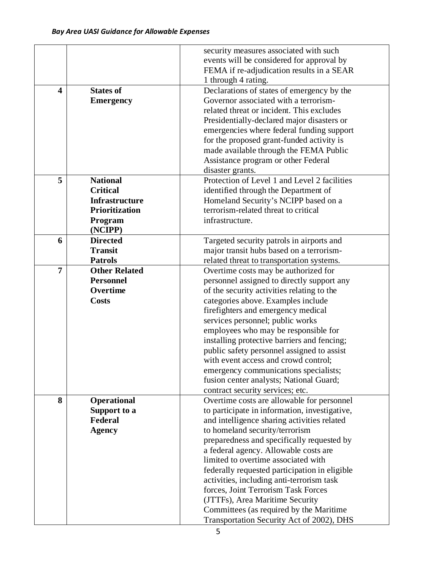|                         |                       | security measures associated with such        |
|-------------------------|-----------------------|-----------------------------------------------|
|                         |                       | events will be considered for approval by     |
|                         |                       | FEMA if re-adjudication results in a SEAR     |
|                         |                       | 1 through 4 rating.                           |
| $\overline{\mathbf{4}}$ | <b>States of</b>      | Declarations of states of emergency by the    |
|                         | <b>Emergency</b>      | Governor associated with a terrorism-         |
|                         |                       | related threat or incident. This excludes     |
|                         |                       | Presidentially-declared major disasters or    |
|                         |                       | emergencies where federal funding support     |
|                         |                       | for the proposed grant-funded activity is     |
|                         |                       | made available through the FEMA Public        |
|                         |                       | Assistance program or other Federal           |
|                         |                       | disaster grants.                              |
| 5                       | <b>National</b>       | Protection of Level 1 and Level 2 facilities  |
|                         | <b>Critical</b>       | identified through the Department of          |
|                         | <b>Infrastructure</b> | Homeland Security's NCIPP based on a          |
|                         | <b>Prioritization</b> | terrorism-related threat to critical          |
|                         | Program               | infrastructure.                               |
|                         | (NCIPP)               |                                               |
| 6                       | <b>Directed</b>       | Targeted security patrols in airports and     |
|                         | <b>Transit</b>        | major transit hubs based on a terrorism-      |
|                         | <b>Patrols</b>        | related threat to transportation systems.     |
| $\overline{7}$          | <b>Other Related</b>  | Overtime costs may be authorized for          |
|                         | <b>Personnel</b>      | personnel assigned to directly support any    |
|                         | Overtime              | of the security activities relating to the    |
|                         | <b>Costs</b>          | categories above. Examples include            |
|                         |                       | firefighters and emergency medical            |
|                         |                       | services personnel; public works              |
|                         |                       | employees who may be responsible for          |
|                         |                       | installing protective barriers and fencing;   |
|                         |                       | public safety personnel assigned to assist    |
|                         |                       | with event access and crowd control;          |
|                         |                       | emergency communications specialists;         |
|                         |                       | fusion center analysts; National Guard;       |
|                         |                       | contract security services; etc.              |
| 8                       | <b>Operational</b>    | Overtime costs are allowable for personnel    |
|                         | Support to a          | to participate in information, investigative, |
|                         | Federal               | and intelligence sharing activities related   |
|                         | <b>Agency</b>         | to homeland security/terrorism                |
|                         |                       | preparedness and specifically requested by    |
|                         |                       | a federal agency. Allowable costs are         |
|                         |                       | limited to overtime associated with           |
|                         |                       | federally requested participation in eligible |
|                         |                       | activities, including anti-terrorism task     |
|                         |                       | forces, Joint Terrorism Task Forces           |
|                         |                       | (JTTFs), Area Maritime Security               |
|                         |                       | Committees (as required by the Maritime       |
|                         |                       | Transportation Security Act of 2002), DHS     |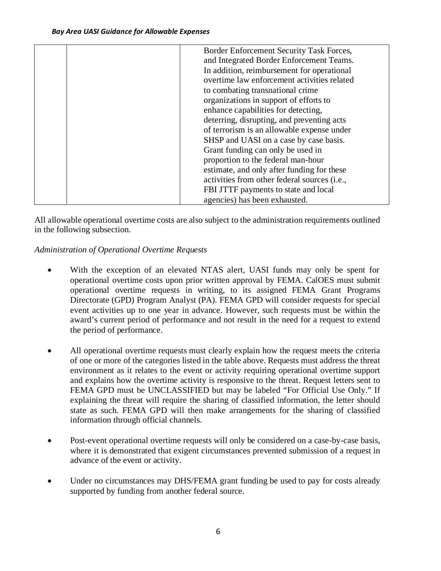|  | Border Enforcement Security Task Forces,     |
|--|----------------------------------------------|
|  | and Integrated Border Enforcement Teams.     |
|  | In addition, reimbursement for operational   |
|  | overtime law enforcement activities related  |
|  | to combating transnational crime             |
|  | organizations in support of efforts to       |
|  | enhance capabilities for detecting,          |
|  | deterring, disrupting, and preventing acts   |
|  | of terrorism is an allowable expense under   |
|  | SHSP and UASI on a case by case basis.       |
|  | Grant funding can only be used in            |
|  | proportion to the federal man-hour           |
|  | estimate, and only after funding for these   |
|  | activities from other federal sources (i.e., |
|  | FBI JTTF payments to state and local         |
|  | agencies) has been exhausted.                |

All allowable operational overtime costs are also subject to the administration requirements outlined in the following subsection.

# *Administration of Operational Overtime Requests*

- With the exception of an elevated NTAS alert, UASI funds may only be spent for operational overtime costs upon prior written approval by FEMA. CalOES must submit operational overtime requests in writing, to its assigned FEMA Grant Programs Directorate (GPD) Program Analyst (PA). FEMA GPD will consider requests for special event activities up to one year in advance. However, such requests must be within the award's current period of performance and not result in the need for a request to extend the period of performance.
- All operational overtime requests must clearly explain how the request meets the criteria of one or more of the categories listed in the table above. Requests must address the threat environment as it relates to the event or activity requiring operational overtime support and explains how the overtime activity is responsive to the threat. Request letters sent to FEMA GPD must be UNCLASSIFIED but may be labeled "For Official Use Only." If explaining the threat will require the sharing of classified information, the letter should state as such. FEMA GPD will then make arrangements for the sharing of classified information through official channels.
- Post-event operational overtime requests will only be considered on a case-by-case basis, where it is demonstrated that exigent circumstances prevented submission of a request in advance of the event or activity.
- Under no circumstances may DHS/FEMA grant funding be used to pay for costs already supported by funding from another federal source.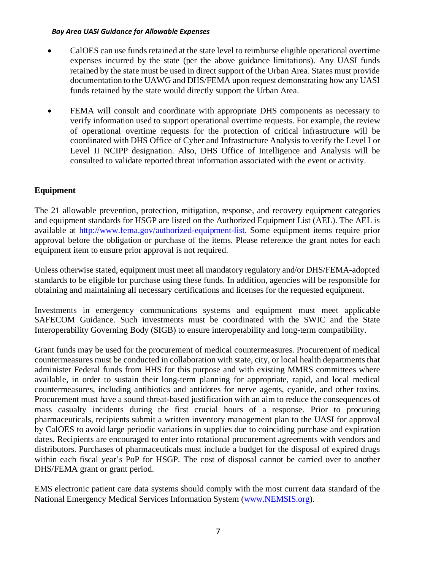- CalOES can use funds retained at the state level to reimburse eligible operational overtime expenses incurred by the state (per the above guidance limitations). Any UASI funds retained by the state must be used in direct support of the Urban Area. States must provide documentation to the UAWG and DHS/FEMA upon request demonstrating how any UASI funds retained by the state would directly support the Urban Area.
- FEMA will consult and coordinate with appropriate DHS components as necessary to verify information used to support operational overtime requests. For example, the review of operational overtime requests for the protection of critical infrastructure will be coordinated with DHS Office of Cyber and Infrastructure Analysis to verify the Level I or Level II NCIPP designation. Also, DHS Office of Intelligence and Analysis will be consulted to validate reported threat information associated with the event or activity.

# **Equipment**

The 21 allowable prevention, protection, mitigation, response, and recovery equipment categories and equipment standards for HSGP are listed on the Authorized Equipment List (AEL). The AEL is available at http://www.fema.gov/authorized-equipment-list. Some equipment items require prior approval before the obligation or purchase of the items. Please reference the grant notes for each equipment item to ensure prior approval is not required.

Unless otherwise stated, equipment must meet all mandatory regulatory and/or DHS/FEMA-adopted standards to be eligible for purchase using these funds. In addition, agencies will be responsible for obtaining and maintaining all necessary certifications and licenses for the requested equipment.

Investments in emergency communications systems and equipment must meet applicable SAFECOM Guidance. Such investments must be coordinated with the SWIC and the State Interoperability Governing Body (SIGB) to ensure interoperability and long-term compatibility.

Grant funds may be used for the procurement of medical countermeasures. Procurement of medical countermeasures must be conducted in collaboration with state, city, or local health departments that administer Federal funds from HHS for this purpose and with existing MMRS committees where available, in order to sustain their long-term planning for appropriate, rapid, and local medical countermeasures, including antibiotics and antidotes for nerve agents, cyanide, and other toxins. Procurement must have a sound threat-based justification with an aim to reduce the consequences of mass casualty incidents during the first crucial hours of a response. Prior to procuring pharmaceuticals, recipients submit a written inventory management plan to the UASI for approval by CalOES to avoid large periodic variations in supplies due to coinciding purchase and expiration dates. Recipients are encouraged to enter into rotational procurement agreements with vendors and distributors. Purchases of pharmaceuticals must include a budget for the disposal of expired drugs within each fiscal year's PoP for HSGP. The cost of disposal cannot be carried over to another DHS/FEMA grant or grant period.

EMS electronic patient care data systems should comply with the most current data standard of the National Emergency Medical Services Information System [\(www.NEMSIS.org\)](http://www.nemsis.org/).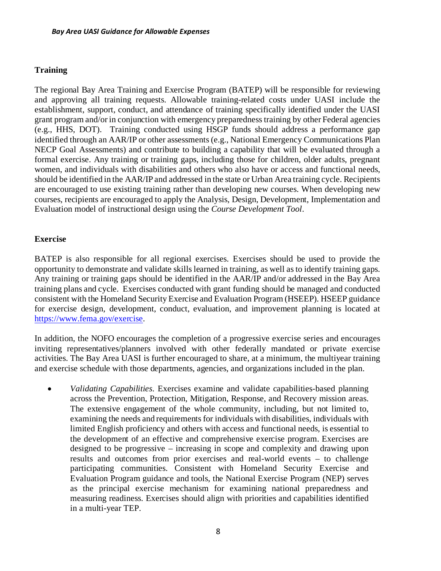# **Training**

The regional Bay Area Training and Exercise Program (BATEP) will be responsible for reviewing and approving all training requests. Allowable training-related costs under UASI include the establishment, support, conduct, and attendance of training specifically identified under the UASI grant program and/or in conjunction with emergency preparedness training by other Federal agencies (e.g., HHS, DOT). Training conducted using HSGP funds should address a performance gap identified through an AAR/IP or other assessments (e.g., National Emergency Communications Plan NECP Goal Assessments) and contribute to building a capability that will be evaluated through a formal exercise. Any training or training gaps, including those for children, older adults, pregnant women, and individuals with disabilities and others who also have or access and functional needs, should be identified in the AAR/IP and addressed in the state or Urban Area training cycle. Recipients are encouraged to use existing training rather than developing new courses. When developing new courses, recipients are encouraged to apply the Analysis, Design, Development, Implementation and Evaluation model of instructional design using the *Course Development Tool*.

#### **Exercise**

BATEP is also responsible for all regional exercises. Exercises should be used to provide the opportunity to demonstrate and validate skills learned in training, as well as to identify training gaps. Any training or training gaps should be identified in the AAR/IP and/or addressed in the Bay Area training plans and cycle. Exercises conducted with grant funding should be managed and conducted consistent with the Homeland Security Exercise and Evaluation Program (HSEEP). HSEEP guidance for exercise design, development, conduct, evaluation, and improvement planning is located at [https://www.fema.gov/exercise.](https://www.fema.gov/exercise)

In addition, the NOFO encourages the completion of a progressive exercise series and encourages inviting representatives/planners involved with other federally mandated or private exercise activities. The Bay Area UASI is further encouraged to share, at a minimum, the multiyear training and exercise schedule with those departments, agencies, and organizations included in the plan.

• *Validating Capabilities*. Exercises examine and validate capabilities-based planning across the Prevention, Protection, Mitigation, Response, and Recovery mission areas. The extensive engagement of the whole community, including, but not limited to, examining the needs and requirements for individuals with disabilities, individuals with limited English proficiency and others with access and functional needs, is essential to the development of an effective and comprehensive exercise program. Exercises are designed to be progressive – increasing in scope and complexity and drawing upon results and outcomes from prior exercises and real-world events – to challenge participating communities. Consistent with Homeland Security Exercise and Evaluation Program guidance and tools, the National Exercise Program (NEP) serves as the principal exercise mechanism for examining national preparedness and measuring readiness. Exercises should align with priorities and capabilities identified in a multi-year TEP.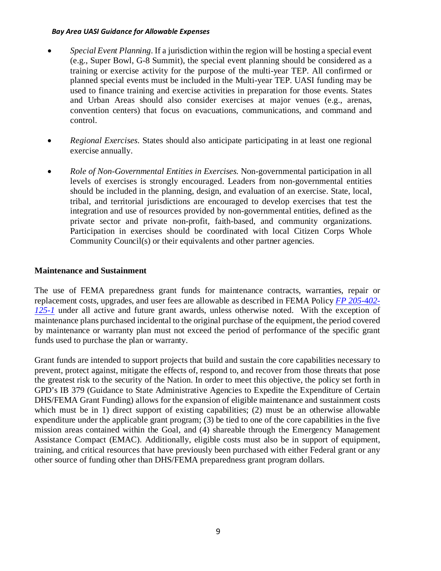- *Special Event Planning*. If a jurisdiction within the region will be hosting a special event (e.g., Super Bowl, G-8 Summit), the special event planning should be considered as a training or exercise activity for the purpose of the multi-year TEP. All confirmed or planned special events must be included in the Multi-year TEP. UASI funding may be used to finance training and exercise activities in preparation for those events. States and Urban Areas should also consider exercises at major venues (e.g., arenas, convention centers) that focus on evacuations, communications, and command and control.
- *Regional Exercises*. States should also anticipate participating in at least one regional exercise annually.
- *Role of Non-Governmental Entities in Exercises.* Non-governmental participation in all levels of exercises is strongly encouraged. Leaders from non-governmental entities should be included in the planning, design, and evaluation of an exercise. State, local, tribal, and territorial jurisdictions are encouraged to develop exercises that test the integration and use of resources provided by non-governmental entities, defined as the private sector and private non-profit, faith-based, and community organizations. Participation in exercises should be coordinated with local Citizen Corps Whole Community Council(s) or their equivalents and other partner agencies.

#### **Maintenance and Sustainment**

The use of FEMA preparedness grant funds for maintenance contracts, warranties, repair or replacement costs, upgrades, and user fees are allowable as described in FEMA Policy *[FP 205-](http://www.fema.gov/media-library/assets/documents/32474)*4*02- [125-1](http://www.fema.gov/media-library/assets/documents/32474)* under all active and future grant awards, unless otherwise noted. With the exception of maintenance plans purchased incidental to the original purchase of the equipment, the period covered by maintenance or warranty plan must not exceed the period of performance of the specific grant funds used to purchase the plan or warranty.

Grant funds are intended to support projects that build and sustain the core capabilities necessary to prevent, protect against, mitigate the effects of, respond to, and recover from those threats that pose the greatest risk to the security of the Nation. In order to meet this objective, the policy set forth in GPD's IB 379 (Guidance to State Administrative Agencies to Expedite the Expenditure of Certain DHS/FEMA Grant Funding) allows for the expansion of eligible maintenance and sustainment costs which must be in 1) direct support of existing capabilities; (2) must be an otherwise allowable expenditure under the applicable grant program; (3) be tied to one of the core capabilities in the five mission areas contained within the Goal, and (4) shareable through the Emergency Management Assistance Compact (EMAC). Additionally, eligible costs must also be in support of equipment, training, and critical resources that have previously been purchased with either Federal grant or any other source of funding other than DHS/FEMA preparedness grant program dollars.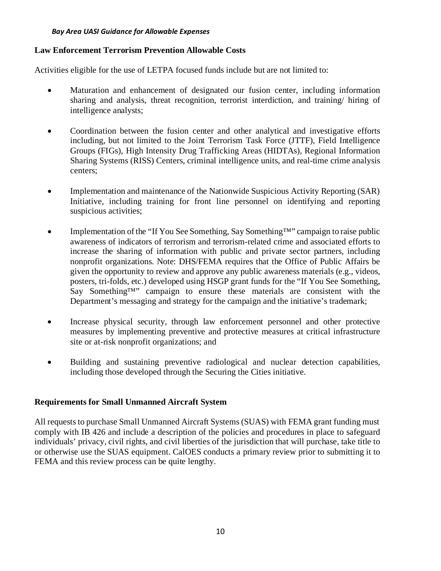#### **Law Enforcement Terrorism Prevention Allowable Costs**

Activities eligible for the use of LETPA focused funds include but are not limited to:

- Maturation and enhancement of designated our fusion center, including information sharing and analysis, threat recognition, terrorist interdiction, and training/ hiring of intelligence analysts;
- Coordination between the fusion center and other analytical and investigative efforts including, but not limited to the Joint Terrorism Task Force (JTTF), Field Intelligence Groups (FIGs), High Intensity Drug Trafficking Areas (HIDTAs), Regional Information Sharing Systems (RISS) Centers, criminal intelligence units, and real-time crime analysis centers;
- Implementation and maintenance of the Nationwide Suspicious Activity Reporting (SAR) Initiative, including training for front line personnel on identifying and reporting suspicious activities;
- Implementation of the "If You See Something, Say Something™" campaign to raise public awareness of indicators of terrorism and terrorism-related crime and associated efforts to increase the sharing of information with public and private sector partners, including nonprofit organizations. Note: DHS/FEMA requires that the Office of Public Affairs be given the opportunity to review and approve any public awareness materials (e.g., videos, posters, tri-folds, etc.) developed using HSGP grant funds for the "If You See Something, Say Something™" campaign to ensure these materials are consistent with the Department's messaging and strategy for the campaign and the initiative's trademark;
- Increase physical security, through law enforcement personnel and other protective measures by implementing preventive and protective measures at critical infrastructure site or at-risk nonprofit organizations; and
- Building and sustaining preventive radiological and nuclear detection capabilities, including those developed through the Securing the Cities initiative.

# **Requirements for Small Unmanned Aircraft System**

All requests to purchase Small Unmanned Aircraft Systems (SUAS) with FEMA grant funding must comply with IB 426 and include a description of the policies and procedures in place to safeguard individuals' privacy, civil rights, and civil liberties of the jurisdiction that will purchase, take title to or otherwise use the SUAS equipment. CalOES conducts a primary review prior to submitting it to FEMA and this review process can be quite lengthy.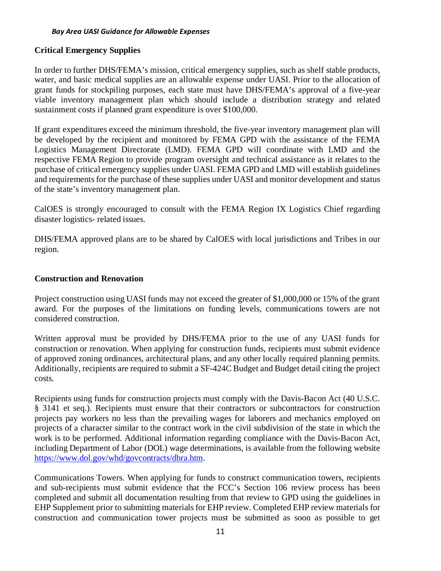#### **Critical Emergency Supplies**

In order to further DHS/FEMA's mission, critical emergency supplies, such as shelf stable products, water, and basic medical supplies are an allowable expense under UASI. Prior to the allocation of grant funds for stockpiling purposes, each state must have DHS/FEMA's approval of a five-year viable inventory management plan which should include a distribution strategy and related sustainment costs if planned grant expenditure is over \$100,000.

If grant expenditures exceed the minimum threshold, the five-year inventory management plan will be developed by the recipient and monitored by FEMA GPD with the assistance of the FEMA Logistics Management Directorate (LMD). FEMA GPD will coordinate with LMD and the respective FEMA Region to provide program oversight and technical assistance as it relates to the purchase of critical emergency supplies under UASI. FEMA GPD and LMD will establish guidelines and requirements for the purchase of these supplies under UASI and monitor development and status of the state's inventory management plan.

CalOES is strongly encouraged to consult with the FEMA Region IX Logistics Chief regarding disaster logistics- related issues.

DHS/FEMA approved plans are to be shared by CalOES with local jurisdictions and Tribes in our region.

#### **Construction and Renovation**

Project construction using UASI funds may not exceed the greater of \$1,000,000 or 15% of the grant award. For the purposes of the limitations on funding levels, communications towers are not considered construction.

Written approval must be provided by DHS/FEMA prior to the use of any UASI funds for construction or renovation. When applying for construction funds, recipients must submit evidence of approved zoning ordinances, architectural plans, and any other locally required planning permits. Additionally, recipients are required to submit a SF-424C Budget and Budget detail citing the project costs.

Recipients using funds for construction projects must comply with the Davis-Bacon Act (40 U.S.C. § 3141 et seq.). Recipients must ensure that their contractors or subcontractors for construction projects pay workers no less than the prevailing wages for laborers and mechanics employed on projects of a character similar to the contract work in the civil subdivision of the state in which the work is to be performed. Additional information regarding compliance with the Davis-Bacon Act, including Department of Labor (DOL) wage determinations, is available from the following website [https://www.dol.gov/whd/govcontracts/dbra.htm.](https://www.dol.gov/whd/govcontracts/dbra.htm)

Communications Towers. When applying for funds to construct communication towers, recipients and sub-recipients must submit evidence that the FCC's Section 106 review process has been completed and submit all documentation resulting from that review to GPD using the guidelines in EHP Supplement prior to submitting materials for EHP review. Completed EHP review materials for construction and communication tower projects must be submitted as soon as possible to get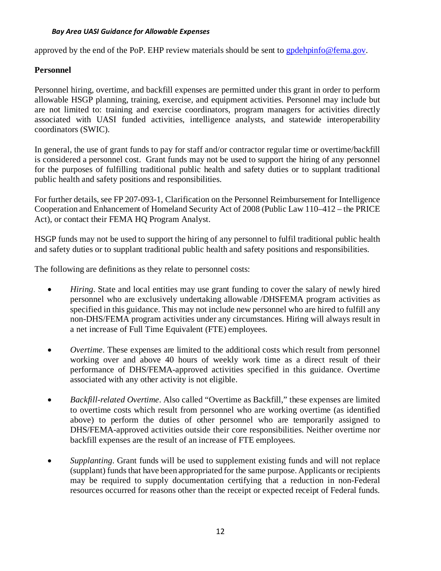approved by the end of the PoP. EHP review materials should be sent to [gpdehpinfo@fema.gov.](mailto:gpdehpinfo@fema.gov)

#### **Personnel**

Personnel hiring, overtime, and backfill expenses are permitted under this grant in order to perform allowable HSGP planning, training, exercise, and equipment activities. Personnel may include but are not limited to: training and exercise coordinators, program managers for activities directly associated with UASI funded activities, intelligence analysts, and statewide interoperability coordinators (SWIC).

In general, the use of grant funds to pay for staff and/or contractor regular time or overtime/backfill is considered a personnel cost. Grant funds may not be used to support the hiring of any personnel for the purposes of fulfilling traditional public health and safety duties or to supplant traditional public health and safety positions and responsibilities.

For further details, see FP 207-093-1, Clarification on the Personnel Reimbursement for Intelligence Cooperation and Enhancement of Homeland Security Act of 2008 (Public Law 110–412 – the PRICE Act), or contact their FEMA HQ Program Analyst.

HSGP funds may not be used to support the hiring of any personnel to fulfil traditional public health and safety duties or to supplant traditional public health and safety positions and responsibilities.

The following are definitions as they relate to personnel costs:

- *Hiring*. State and local entities may use grant funding to cover the salary of newly hired personnel who are exclusively undertaking allowable /DHSFEMA program activities as specified in this guidance. This may not include new personnel who are hired to fulfill any non-DHS/FEMA program activities under any circumstances. Hiring will always result in a net increase of Full Time Equivalent (FTE) employees.
- *Overtime*. These expenses are limited to the additional costs which result from personnel working over and above 40 hours of weekly work time as a direct result of their performance of DHS/FEMA-approved activities specified in this guidance. Overtime associated with any other activity is not eligible.
- *Backfill-related Overtime*. Also called "Overtime as Backfill," these expenses are limited to overtime costs which result from personnel who are working overtime (as identified above) to perform the duties of other personnel who are temporarily assigned to DHS/FEMA-approved activities outside their core responsibilities. Neither overtime nor backfill expenses are the result of an increase of FTE employees.
- *Supplanting*. Grant funds will be used to supplement existing funds and will not replace (supplant) funds that have been appropriated for the same purpose. Applicants or recipients may be required to supply documentation certifying that a reduction in non-Federal resources occurred for reasons other than the receipt or expected receipt of Federal funds.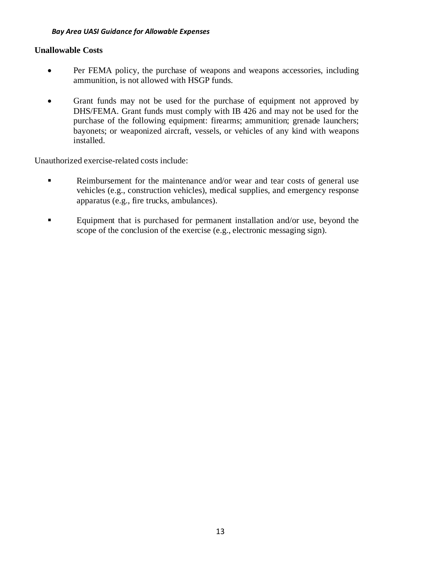#### **Unallowable Costs**

- Per FEMA policy, the purchase of weapons and weapons accessories, including ammunition, is not allowed with HSGP funds.
- Grant funds may not be used for the purchase of equipment not approved by DHS/FEMA. Grant funds must comply with IB 426 and may not be used for the purchase of the following equipment: firearms; ammunition; grenade launchers; bayonets; or weaponized aircraft, vessels, or vehicles of any kind with weapons installed.

Unauthorized exercise-related costs include:

- Reimbursement for the maintenance and/or wear and tear costs of general use vehicles (e.g., construction vehicles), medical supplies, and emergency response apparatus (e.g., fire trucks, ambulances).
- Equipment that is purchased for permanent installation and/or use, beyond the scope of the conclusion of the exercise (e.g., electronic messaging sign).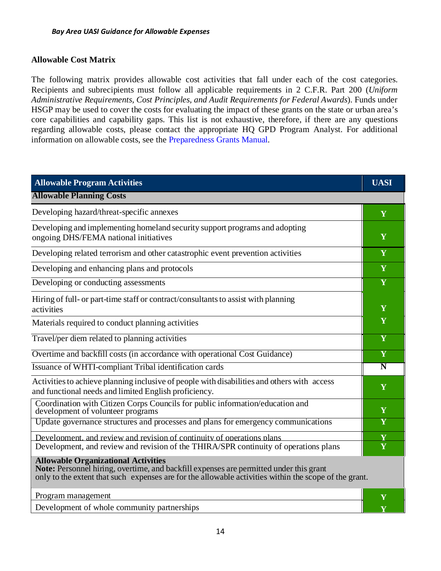# **Allowable Cost Matrix**

The following matrix provides allowable cost activities that fall under each of the cost categories. Recipients and subrecipients must follow all applicable requirements in 2 C.F.R. Part 200 (*Uniform Administrative Requirements, Cost Principles, and Audit Requirements for Federal Awards*). Funds under HSGP may be used to cover the costs for evaluating the impact of these grants on the state or urban area's core capabilities and capability gaps. This list is not exhaustive, therefore, if there are any questions regarding allowable costs, please contact the appropriate HQ GPD Program Analyst. For additional information on allowable costs, see the Preparedness Grants Manual.

| <b>Allowable Program Activities</b>                                                                                                                                                                                                          | <b>UASI</b>        |
|----------------------------------------------------------------------------------------------------------------------------------------------------------------------------------------------------------------------------------------------|--------------------|
| <b>Allowable Planning Costs</b>                                                                                                                                                                                                              |                    |
| Developing hazard/threat-specific annexes                                                                                                                                                                                                    | Y                  |
| Developing and implementing homeland security support programs and adopting<br>ongoing DHS/FEMA national initiatives                                                                                                                         | Y                  |
| Developing related terrorism and other catastrophic event prevention activities                                                                                                                                                              | Y                  |
| Developing and enhancing plans and protocols                                                                                                                                                                                                 | Y                  |
| Developing or conducting assessments                                                                                                                                                                                                         | Y                  |
| Hiring of full- or part-time staff or contract/consultants to assist with planning<br>activities                                                                                                                                             | Y                  |
| Materials required to conduct planning activities                                                                                                                                                                                            | Y                  |
| Travel/per diem related to planning activities                                                                                                                                                                                               | Y                  |
| Overtime and backfill costs (in accordance with operational Cost Guidance)                                                                                                                                                                   | Y                  |
| Issuance of WHTI-compliant Tribal identification cards                                                                                                                                                                                       | $\overline{\bf N}$ |
| Activities to achieve planning inclusive of people with disabilities and others with access<br>and functional needs and limited English proficiency.                                                                                         | Y                  |
| Coordination with Citizen Corps Councils for public information/education and<br>development of volunteer programs                                                                                                                           | Y                  |
| Update governance structures and processes and plans for emergency communications                                                                                                                                                            | Y                  |
| Development, and review and revision of continuity of operations plans                                                                                                                                                                       | Y                  |
| Development, and review and revision of the THIRA/SPR continuity of operations plans                                                                                                                                                         | Y                  |
| <b>Allowable Organizational Activities</b><br>Note: Personnel hiring, overtime, and backfill expenses are permitted under this grant<br>only to the extent that such expenses are for the allowable activities within the scope of the grant |                    |

only to the extent that such expenses are for the allowable activities within the scope of the grant.

**Program management Y** 

Development of whole community partnerships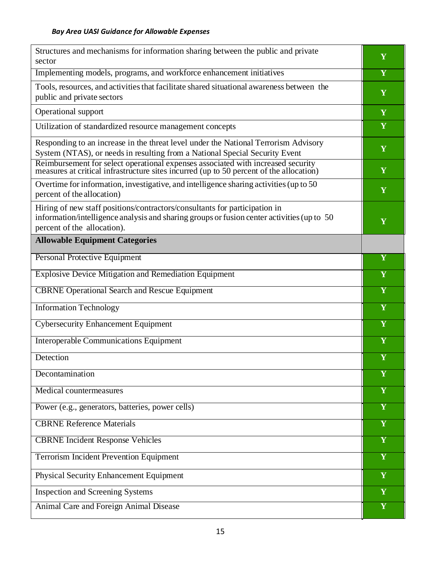| Structures and mechanisms for information sharing between the public and private<br>sector                                                                                                              | Y                       |
|---------------------------------------------------------------------------------------------------------------------------------------------------------------------------------------------------------|-------------------------|
| Implementing models, programs, and workforce enhancement initiatives                                                                                                                                    | $\overline{\mathbf{Y}}$ |
| Tools, resources, and activities that facilitate shared situational awareness between the<br>public and private sectors                                                                                 | Y                       |
| Operational support                                                                                                                                                                                     | Y                       |
| Utilization of standardized resource management concepts                                                                                                                                                | $\mathbf Y$             |
| Responding to an increase in the threat level under the National Terrorism Advisory<br>System (NTAS), or needs in resulting from a National Special Security Event                                      | Y                       |
| Reimbursement for select operational expenses associated with increased security measures at critical infrastructure sites incurred (up to 50 percent of the allocation)                                | Y                       |
| Overtime for information, investigative, and intelligence sharing activities (up to 50<br>percent of the allocation)                                                                                    | Y                       |
| Hiring of new staff positions/contractors/consultants for participation in<br>information/intelligence analysis and sharing groups or fusion center activities (up to 50<br>percent of the allocation). | Y                       |
| <b>Allowable Equipment Categories</b>                                                                                                                                                                   |                         |
| Personal Protective Equipment                                                                                                                                                                           | Y                       |
| <b>Explosive Device Mitigation and Remediation Equipment</b>                                                                                                                                            | Y                       |
| <b>CBRNE</b> Operational Search and Rescue Equipment                                                                                                                                                    | Y                       |
| <b>Information Technology</b>                                                                                                                                                                           | Y                       |
| <b>Cybersecurity Enhancement Equipment</b>                                                                                                                                                              | Y                       |
| <b>Interoperable Communications Equipment</b>                                                                                                                                                           | Y                       |
| Detection                                                                                                                                                                                               | $\overline{\mathbf{Y}}$ |
| Decontamination                                                                                                                                                                                         | Y                       |
| Medical countermeasures                                                                                                                                                                                 | Y                       |
| Power (e.g., generators, batteries, power cells)                                                                                                                                                        | $\mathbf Y$             |
| <b>CBRNE Reference Materials</b>                                                                                                                                                                        | $\overline{\mathbf{Y}}$ |
| <b>CBRNE Incident Response Vehicles</b>                                                                                                                                                                 | $\overline{\mathbf{Y}}$ |
| <b>Terrorism Incident Prevention Equipment</b>                                                                                                                                                          | Y                       |
| <b>Physical Security Enhancement Equipment</b>                                                                                                                                                          | Y                       |
| <b>Inspection and Screening Systems</b>                                                                                                                                                                 | Y                       |
| Animal Care and Foreign Animal Disease                                                                                                                                                                  | Y                       |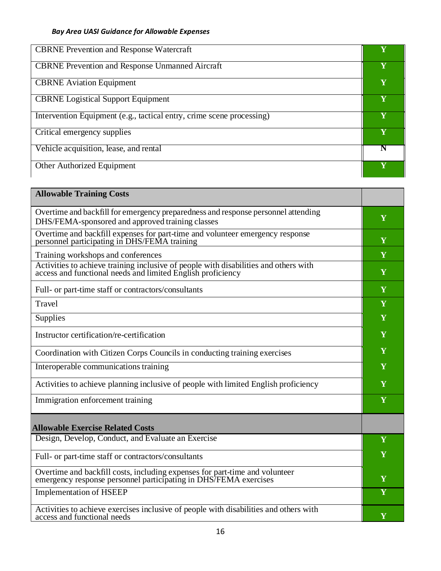| <b>CBRNE Prevention and Response Watercraft</b>                       |             |
|-----------------------------------------------------------------------|-------------|
| <b>CBRNE</b> Prevention and Response Unmanned Aircraft                | Y           |
| <b>CBRNE</b> Aviation Equipment                                       | Y           |
| <b>CBRNE</b> Logistical Support Equipment                             | Y           |
| Intervention Equipment (e.g., tactical entry, crime scene processing) | Y           |
| Critical emergency supplies                                           | $\mathbf V$ |
| Vehicle acquisition, lease, and rental                                |             |
| Other Authorized Equipment                                            |             |

| <b>Allowable Training Costs</b>                                                                                                                     |   |
|-----------------------------------------------------------------------------------------------------------------------------------------------------|---|
| Overtime and backfill for emergency preparedness and response personnel attending<br>DHS/FEMA-sponsored and approved training classes               | Y |
| Overtime and backfill expenses for part-time and volunteer emergency response personnel participating in DHS/FEMA training                          | Y |
| Training workshops and conferences                                                                                                                  | Y |
| Activities to achieve training inclusive of people with disabilities and others with<br>access and functional needs and limited English proficiency | Y |
| Full- or part-time staff or contractors/consultants                                                                                                 | Y |
| Travel                                                                                                                                              | Y |
| Supplies                                                                                                                                            | Y |
| Instructor certification/re-certification                                                                                                           | Y |
| Coordination with Citizen Corps Councils in conducting training exercises                                                                           | Y |
| Interoperable communications training                                                                                                               | Y |
| Activities to achieve planning inclusive of people with limited English proficiency                                                                 | Y |
| Immigration enforcement training                                                                                                                    | Y |
| <b>Allowable Exercise Related Costs</b>                                                                                                             |   |
| Design, Develop, Conduct, and Evaluate an Exercise                                                                                                  | Y |
| Full- or part-time staff or contractors/consultants                                                                                                 | Y |
| Overtime and backfill costs, including expenses for part-time and volunteer<br>emergency response personnel participating in DHS/FEMA exercises     | Y |
| <b>Implementation of HSEEP</b>                                                                                                                      | Y |
| Activities to achieve exercises inclusive of people with disabilities and others with<br>access and functional needs                                | Y |